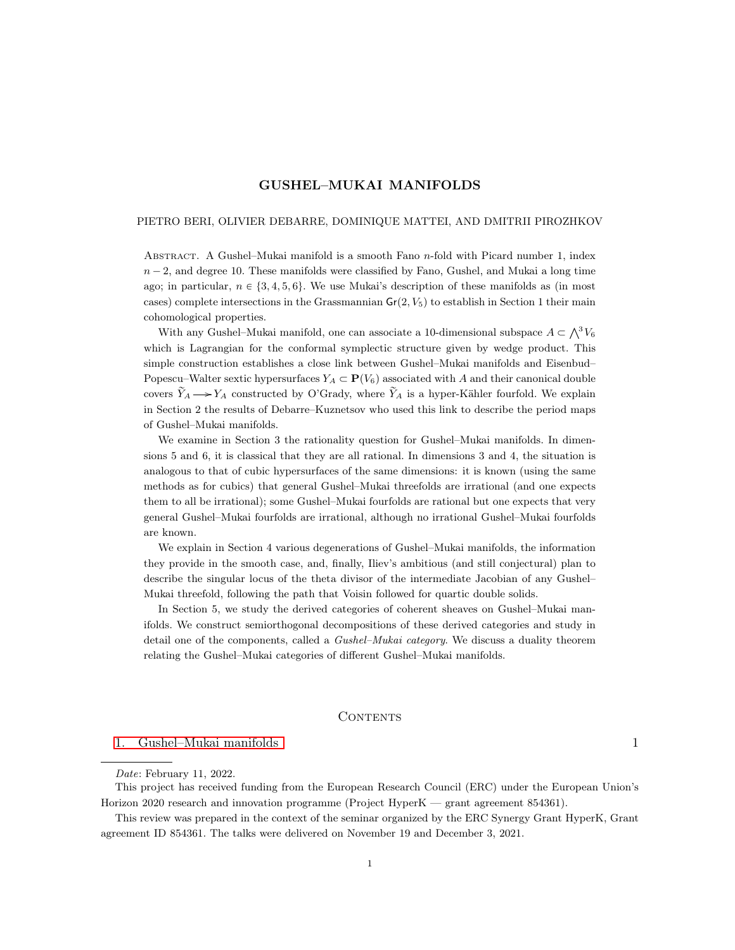# GUSHEL–MUKAI MANIFOLDS

#### PIETRO BERI, OLIVIER DEBARRE, DOMINIQUE MATTEI, AND DMITRII PIROZHKOV

ABSTRACT. A Gushel–Mukai manifold is a smooth Fano  $n$ -fold with Picard number 1, index  $n - 2$ , and degree 10. These manifolds were classified by Fano, Gushel, and Mukai a long time ago; in particular,  $n \in \{3, 4, 5, 6\}$ . We use Mukai's description of these manifolds as (in most cases) complete intersections in the Grassmannian  $Gr(2, V_5)$  to establish in Section 1 their main cohomological properties.

fomological properties.<br>With any Gushel–Mukai manifold, one can associate a 10-dimensional subspace  $A \subset \bigwedge^3 V_6$ which is Lagrangian for the conformal symplectic structure given by wedge product. This simple construction establishes a close link between Gushel–Mukai manifolds and Eisenbud– Popescu–Walter sextic hypersurfaces  $Y_A \subset \mathbf{P}(V_6)$  associated with A and their canonical double covers  $\widetilde{Y}_A \longrightarrow Y_A$  constructed by O'Grady, where  $\widetilde{Y}_A$  is a hyper-Kähler fourfold. We explain in Section 2 the results of Debarre–Kuznetsov who used this link to describe the period maps of Gushel–Mukai manifolds.

We examine in Section 3 the rationality question for Gushel–Mukai manifolds. In dimensions 5 and 6, it is classical that they are all rational. In dimensions 3 and 4, the situation is analogous to that of cubic hypersurfaces of the same dimensions: it is known (using the same methods as for cubics) that general Gushel–Mukai threefolds are irrational (and one expects them to all be irrational); some Gushel–Mukai fourfolds are rational but one expects that very general Gushel–Mukai fourfolds are irrational, although no irrational Gushel–Mukai fourfolds are known.

We explain in Section 4 various degenerations of Gushel–Mukai manifolds, the information they provide in the smooth case, and, finally, Iliev's ambitious (and still conjectural) plan to describe the singular locus of the theta divisor of the intermediate Jacobian of any Gushel– Mukai threefold, following the path that Voisin followed for quartic double solids.

In Section 5, we study the derived categories of coherent sheaves on Gushel–Mukai manifolds. We construct semiorthogonal decompositions of these derived categories and study in detail one of the components, called a Gushel–Mukai category. We discuss a duality theorem relating the Gushel–Mukai categories of different Gushel–Mukai manifolds.

#### <span id="page-0-0"></span>CONTENTS

## [1. Gushel–Mukai manifolds](#page-1-0) 1

This project has received funding from the European Research Council (ERC) under the European Union's Horizon 2020 research and innovation programme (Project HyperK — grant agreement 854361).

This review was prepared in the context of the seminar organized by the ERC Synergy Grant HyperK, Grant agreement ID 854361. The talks were delivered on November 19 and December 3, 2021.

Date: February 11, 2022.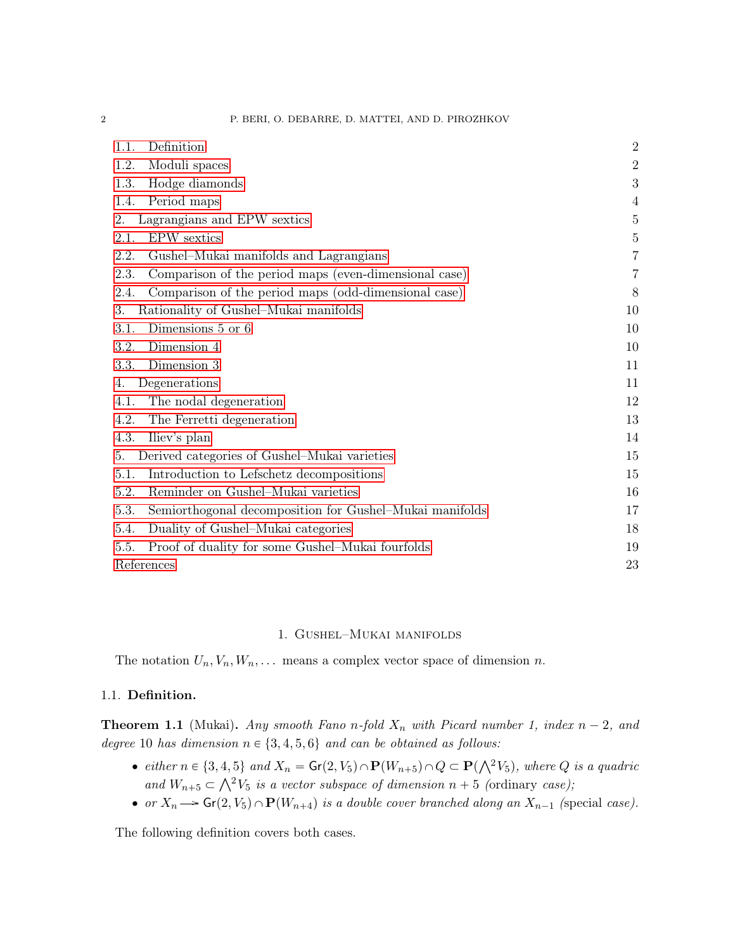| Definition<br>1.1.                                              | $\overline{2}$ |
|-----------------------------------------------------------------|----------------|
| 1.2.<br>Moduli spaces                                           | $\overline{2}$ |
| Hodge diamonds<br>1.3.                                          | $\mathbf 3$    |
| Period maps<br>1.4.                                             | 4              |
| Lagrangians and EPW sextics<br>2.                               | $\bf 5$        |
| <b>EPW</b> sextics<br>2.1.                                      | $5\,$          |
| 2.2.<br>Gushel-Mukai manifolds and Lagrangians                  | $\overline{7}$ |
| 2.3.<br>Comparison of the period maps (even-dimensional case)   | 7              |
| Comparison of the period maps (odd-dimensional case)<br>2.4.    | 8              |
| Rationality of Gushel-Mukai manifolds<br>3.                     | 10             |
| Dimensions 5 or 6<br>3.1.                                       | 10             |
| Dimension 4<br>3.2.                                             | 10             |
| Dimension 3<br>3.3.                                             | 11             |
| Degenerations<br>4.                                             | 11             |
| The nodal degeneration<br>4.1.                                  | 12             |
| 4.2.<br>The Ferretti degeneration                               | 13             |
| 4.3.<br>Iliev's plan                                            | 14             |
| Derived categories of Gushel–Mukai varieties<br>5.              | 15             |
| 5.1.<br>Introduction to Lefschetz decompositions                | 15             |
| Reminder on Gushel-Mukai varieties<br>5.2.                      | 16             |
| 5.3.<br>Semiorthogonal decomposition for Gushel–Mukai manifolds | 17             |
| Duality of Gushel–Mukai categories<br>5.4.                      | 18             |
| 5.5.<br>Proof of duality for some Gushel–Mukai fourfolds        | 19             |
| References                                                      | 23             |

### 1. Gushel–Mukai manifolds

<span id="page-1-0"></span>The notation  $U_n, V_n, W_n, \ldots$  means a complex vector space of dimension n.

# <span id="page-1-1"></span>1.1. Definition.

**Theorem 1.1** (Mukai). Any smooth Fano n-fold  $X_n$  with Picard number 1, index  $n - 2$ , and degree 10 has dimension  $n \in \{3, 4, 5, 6\}$  and can be obtained as follows:

- either  $n \in \{3, 4, 5\}$  and  $X_n = \mathsf{Gr}(2, V_5) \cap \mathbf{P}(W_{n+5}) \cap Q \subset \mathbf{P}(\bigwedge^2 V_5)$ , where Q is a quadric either  $n \in \{3, 4, 3\}$  and  $X_n = \text{Gr}(2, V_5) \cap \text{F}(W_{n+5}) \cap Q \subseteq \text{F}(\sqrt{V_5})$ , where  $Q$ <br>and  $W_{n+5} \subset \bigwedge^2 V_5$  is a vector subspace of dimension  $n + 5$  (ordinary case);
- or  $X_n \longrightarrow$   $Gr(2, V_5) \cap P(W_{n+4})$  is a double cover branched along an  $X_{n-1}$  (special case).

The following definition covers both cases.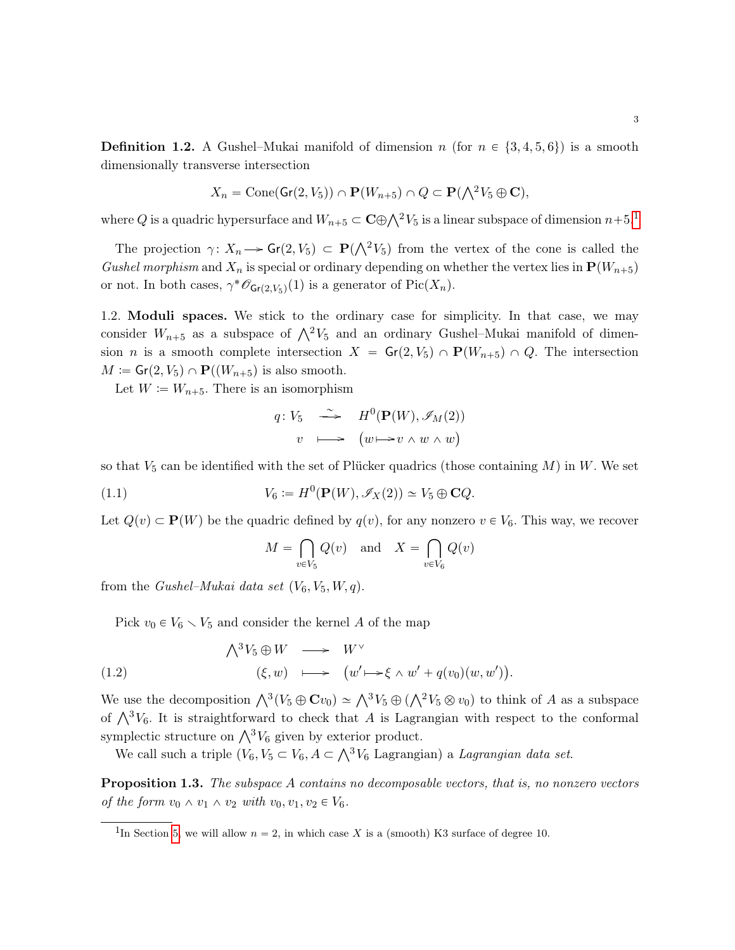<span id="page-2-2"></span>**Definition 1.2.** A Gushel–Mukai manifold of dimension n (for  $n \in \{3, 4, 5, 6\}$ ) is a smooth dimensionally transverse intersection

$$
X_n = \text{Cone}(\mathsf{Gr}(2, V_5)) \cap \mathbf{P}(W_{n+5}) \cap Q \subset \mathbf{P}(\bigwedge^2 V_5 \oplus \mathbf{C}),
$$

where Q is a quadric hypersurface and  $W_{n+5} \subset \mathbf{C} \oplus \bigwedge^2 V_5$  is a linear subspace of dimension  $n+5.1$  $n+5.1$ 

The projection  $\gamma: X_n \longrightarrow Gr(2, V_5) \subset \mathbf{P}(\bigwedge^2 V_5)$  from the vertex of the cone is called the Gushel morphism and  $X_n$  is special or ordinary depending on whether the vertex lies in  $\mathbf{P}(W_{n+5})$ or not. In both cases,  $\gamma^* \mathscr{O}_{\mathsf{Gr}(2, V_5)}(1)$  is a generator of  $Pic(X_n)$ .

<span id="page-2-0"></span>1.2. Moduli spaces. We stick to the ordinary case for simplicity. In that case, we may consider  $W_{n+5}$  as a subspace of  $\bigwedge^2 V_5$  and an ordinary Gushel–Mukai manifold of dimension *n* is a smooth complete intersection  $X = Gr(2, V_5) \cap P(W_{n+5}) \cap Q$ . The intersection  $M := Gr(2, V_5) \cap \mathbf{P}((W_{n+5})$  is also smooth.

Let  $W := W_{n+5}$ . There is an isomorphism

$$
q: V_5 \longrightarrow H^0(\mathbf{P}(W), \mathscr{I}_M(2))
$$
  

$$
v \longmapsto (w \mapsto v \wedge w \wedge w)
$$

so that  $V_5$  can be identified with the set of Plücker quadrics (those containing M) in W. We set

(1.1) 
$$
V_6 := H^0(\mathbf{P}(W), \mathscr{I}_X(2)) \simeq V_5 \oplus \mathbf{C} Q.
$$

Let  $Q(v) \subset \mathbf{P}(W)$  be the quadric defined by  $q(v)$ , for any nonzero  $v \in V_6$ . This way, we recover

<span id="page-2-3"></span>
$$
M = \bigcap_{v \in V_5} Q(v) \quad \text{and} \quad X = \bigcap_{v \in V_6} Q(v)
$$

from the *Gushel–Mukai data set*  $(V_6, V_5, W, q)$ .

<span id="page-2-4"></span>Pick  $v_0 \in V_6 \setminus V_5$  and consider the kernel A of the map

(1.2) 
$$
\begin{array}{rcl} \bigwedge^3 V_5 \oplus W & \longrightarrow & W^{\vee} \\ & (\xi, w) & \longmapsto & \big( w' \longmapsto \xi \wedge w' + q(v_0)(w, w') \big). \end{array}
$$

We use the decomposition  $\bigwedge^3 (V_5 \oplus \mathbf{C} v_0) \simeq \bigwedge^3 V_5 \oplus (\bigwedge^2 V_5 \otimes v_0)$  to think of A as a subspace of  $\bigwedge^3 V_6$ . It is straightforward to check that A is Lagrangian with respect to the conformal symplectic structure on  $\bigwedge^3 V_6$  given by exterior product.

mplectic structure on  $\wedge^{\infty} V_6$  given by exterior product.<br>We call such a triple  $(V_6, V_5 \subset V_6, A \subset \wedge^3 V_6$  Lagrangian) a *Lagrangian data set*.

Proposition 1.3. The subspace A contains no decomposable vectors, that is, no nonzero vectors of the form  $v_0 \wedge v_1 \wedge v_2$  with  $v_0, v_1, v_2 \in V_6$ .

<span id="page-2-1"></span><sup>&</sup>lt;sup>1</sup>In Section [5,](#page-15-0) we will allow  $n = 2$ , in which case X is a (smooth) K3 surface of degree 10.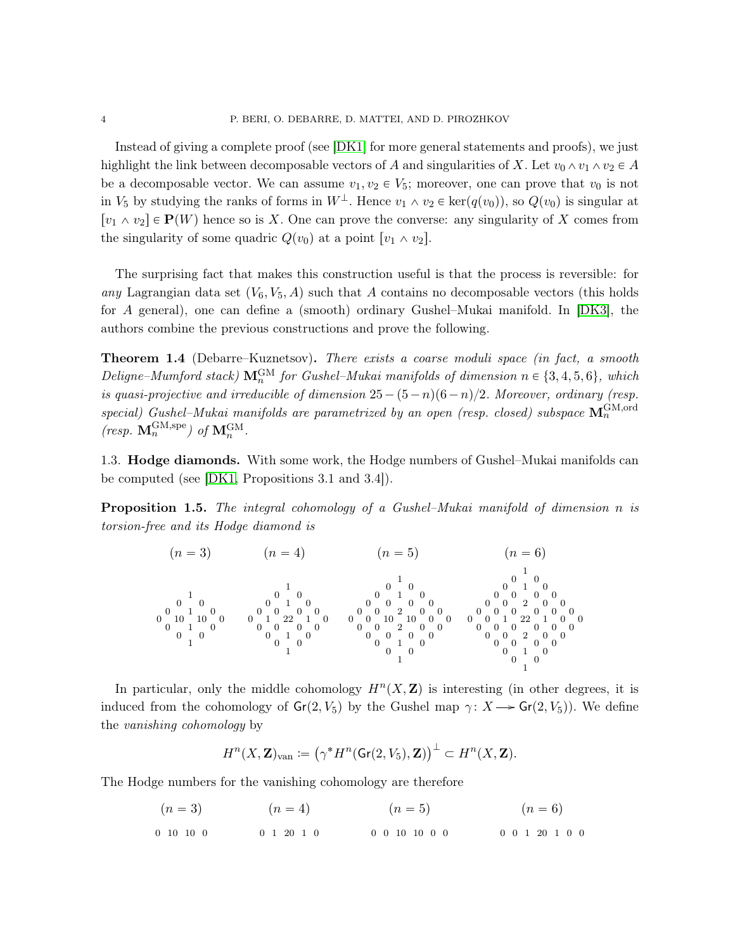Instead of giving a complete proof (see [\[DK1\]](#page-23-0) for more general statements and proofs), we just highlight the link between decomposable vectors of A and singularities of X. Let  $v_0 \wedge v_1 \wedge v_2 \in A$ be a decomposable vector. We can assume  $v_1, v_2 \in V_5$ ; moreover, one can prove that  $v_0$  is not in  $V_5$  by studying the ranks of forms in  $W^{\perp}$ . Hence  $v_1 \wedge v_2 \in \text{ker}(q(v_0))$ , so  $Q(v_0)$  is singular at  $[v_1 \wedge v_2] \in \mathbf{P}(W)$  hence so is X. One can prove the converse: any singularity of X comes from the singularity of some quadric  $Q(v_0)$  at a point  $[v_1 \wedge v_2]$ .

The surprising fact that makes this construction useful is that the process is reversible: for any Lagrangian data set  $(V_6, V_5, A)$  such that A contains no decomposable vectors (this holds for A general), one can define a (smooth) ordinary Gushel–Mukai manifold. In [\[DK3\]](#page-23-1), the authors combine the previous constructions and prove the following.

Theorem 1.4 (Debarre–Kuznetsov). There exists a coarse moduli space (in fact, a smooth Deligne–Mumford stack)  $\mathbf{M}_n^{\text{GM}}$  for Gushel–Mukai manifolds of dimension  $n \in \{3, 4, 5, 6\}$ , which is quasi-projective and irreducible of dimension  $25-(5-n)(6-n)/2$ . Moreover, ordinary (resp. special) Gushel–Mukai manifolds are parametrized by an open (resp. closed) subspace  $\mathbf{M}^{\text{GM,ord}}_{n}$ (resp.  $\mathbf{M}_n^{\text{GM,spe}}$ ) of  $\mathbf{M}_n^{\text{GM}}$ .

<span id="page-3-0"></span>1.3. Hodge diamonds. With some work, the Hodge numbers of Gushel–Mukai manifolds can be computed (see [\[DK1,](#page-23-0) Propositions 3.1 and 3.4]).

Proposition 1.5. The integral cohomology of a Gushel–Mukai manifold of dimension n is torsion-free and its Hodge diamond is

pn " 3q pn " 4q pn " 5q pn " 6q 1 0 0 0 1 0 0 10 10 0 0 1 0 0 0 1 1 0 0 0 1 0 0 0 0 0 0 1 22 1 0 0 0 0 0 0 1 0 0 0 1 1 0 0 0 1 0 0 0 0 0 0 0 2 0 0 0 0 10 10 0 0 0 0 2 0 0 0 0 0 0 0 1 0 0 0 1 1 0 0 0 1 0 0 0 0 0 0 0 2 0 0 0 0 0 0 0 0 0 0 1 22 1 0 0 0 0 0 0 0 0 0 0 2 0 0 0 0 0 0 0 1 0 0 0 1

In particular, only the middle cohomology  $H<sup>n</sup>(X, \mathbf{Z})$  is interesting (in other degrees, it is induced from the cohomology of  $Gr(2, V_5)$  by the Gushel map  $\gamma : X \longrightarrow Gr(2, V_5)$ . We define the vanishing cohomology by

$$
H^n(X,\mathbf{Z})_{\text{van}}\coloneqq \left(\gamma^*H^n(\operatorname{Gr}(2,V_5),\mathbf{Z})\right)^\perp \subset H^n(X,\mathbf{Z}).
$$

The Hodge numbers for the vanishing cohomology are therefore

$$
(n = 3) \qquad (n = 4) \qquad (n = 5) \qquad (n = 6)
$$
  
0 10 10 0 0 1 20 1 0 0 0 10 10 0 0 0 0 1 20 1 0 0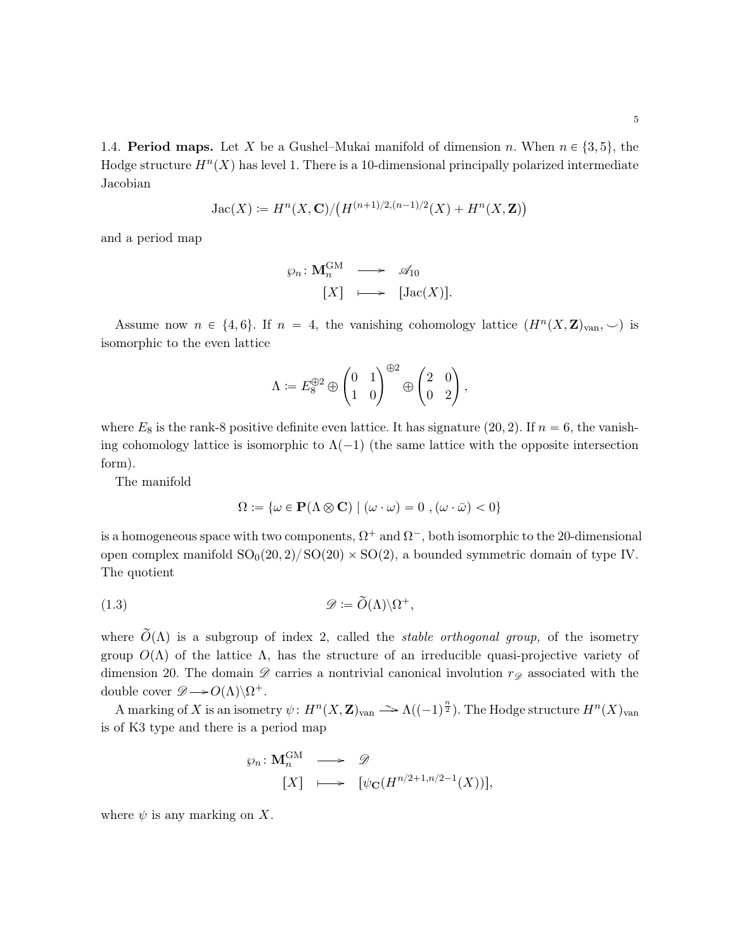<span id="page-4-0"></span>1.4. **Period maps.** Let X be a Gushel–Mukai manifold of dimension n. When  $n \in \{3, 5\}$ , the Hodge structure  $H^{n}(X)$  has level 1. There is a 10-dimensional principally polarized intermediate Jacobian

$$
Jac(X) := H^{n}(X, \mathbf{C})/(H^{(n+1)/2,(n-1)/2}(X) + H^{n}(X, \mathbf{Z}))
$$

and a period map

$$
\varphi_n \colon \mathbf{M}_n^{\mathbf{GM}} \longrightarrow \mathcal{A}_{10}
$$

$$
[X] \longmapsto [Jac(X)].
$$

Assume now  $n \in \{4, 6\}$ . If  $n = 4$ , the vanishing cohomology lattice  $(H^n(X, \mathbf{Z})_{\text{van}}, \smile)$  is isomorphic to the even lattice

$$
\Lambda \coloneqq E_8^{\oplus 2} \oplus \begin{pmatrix} 0 & 1 \\ 1 & 0 \end{pmatrix}^{\oplus 2} \oplus \begin{pmatrix} 2 & 0 \\ 0 & 2 \end{pmatrix},
$$

where  $E_8$  is the rank-8 positive definite even lattice. It has signature (20, 2). If  $n = 6$ , the vanishing cohomology lattice is isomorphic to  $\Lambda(-1)$  (the same lattice with the opposite intersection form).

The manifold

<span id="page-4-1"></span>
$$
\Omega := \{ \omega \in \mathbf{P}(\Lambda \otimes \mathbf{C}) \mid (\omega \cdot \omega) = 0 \;, (\omega \cdot \bar{\omega}) < 0 \}
$$

is a homogeneous space with two components,  $\Omega^+$  and  $\Omega^-$ , both isomorphic to the 20-dimensional open complex manifold  $SO_0(20, 2)/SO(20) \times SO(2)$ , a bounded symmetric domain of type IV. The quotient

(1.3) 
$$
\mathscr{D} := \widetilde{O}(\Lambda) \backslash \Omega^{+},
$$

where  $\tilde{O}(\Lambda)$  is a subgroup of index 2, called the *stable orthogonal group*, of the isometry group  $O(\Lambda)$  of the lattice  $\Lambda$ , has the structure of an irreducible quasi-projective variety of dimension 20. The domain  $\mathscr D$  carries a nontrivial canonical involution  $r_{\mathscr D}$  associated with the double cover  $\mathscr{D} \longrightarrow O(\Lambda)\backslash \Omega^+$ .

A marking of X is an isometry  $\psi: H^n(X, \mathbf{Z})_{\text{van}} \longrightarrow \Lambda((-1)^{\frac{n}{2}})$ . The Hodge structure  $H^n(X)_{\text{van}}$ is of K3 type and there is a period map

$$
\varphi_n \colon \mathbf{M}_n^{\mathrm{GM}} \longrightarrow \mathscr{D}
$$
  

$$
[X] \longmapsto [\psi_{\mathbf{C}}(H^{n/2+1, n/2-1}(X))],
$$

where  $\psi$  is any marking on X.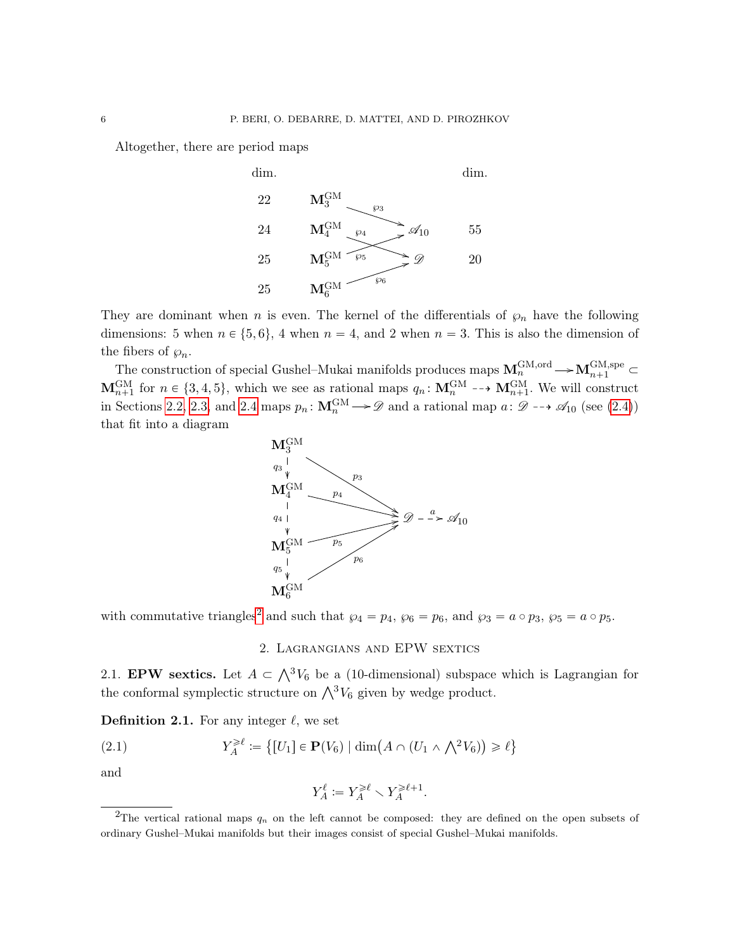Altogether, there are period maps



They are dominant when n is even. The kernel of the differentials of  $\wp_n$  have the following dimensions: 5 when  $n \in \{5, 6\}$ , 4 when  $n = 4$ , and 2 when  $n = 3$ . This is also the dimension of the fibers of  $\wp_n$ .

The construction of special Gushel–Mukai manifolds produces maps  $M_n^{\text{GM,ord}} \longrightarrow M_{n+1}^{\text{GM,spec}} \subset$  $\mathbf{M}_{n+1}^{\text{GM}}$  for  $n \in \{3, 4, 5\}$ , which we see as rational maps  $q_n : \mathbf{M}_n^{\text{GM}} \dashrightarrow \mathbf{M}_{n+1}^{\text{GM}}$ . We will construct in Sections [2.2,](#page-7-0) [2.3,](#page-7-1) and [2.4](#page-8-0) maps  $p_n: \mathbf{M}_n^{\text{GM}} \to \mathscr{D}$  and a rational map  $a: \mathscr{D} \dashrightarrow \mathscr{A}_{10}$  (see [\(2.4\)](#page-9-0)) that fit into a diagram



with commutative triangles<sup>[2](#page-5-2)</sup> and such that  $\wp_4 = p_4$ ,  $\wp_6 = p_6$ , and  $\wp_3 = a \circ p_3$ ,  $\wp_5 = a \circ p_5$ .

### 2. Lagrangians and EPW sextics

<span id="page-5-1"></span><span id="page-5-0"></span>2.1. **EPW** sextics. Let  $A \subset \bigwedge^3 V_6$  be a (10-dimensional) subspace which is Lagrangian for the conformal symplectic structure on  $\bigwedge^3 V_6$  given by wedge product.

<span id="page-5-3"></span>**Definition 2.1.** For any integer  $\ell$ , we set

(2.1) 
$$
Y_A^{\geq \ell} := \{ [U_1] \in \mathbf{P}(V_6) \mid \dim(A \cap (U_1 \wedge \bigwedge^2 V_6)) \geq \ell \}
$$

and

$$
Y_A^{\ell} \coloneqq Y_A^{\geqslant \ell} \smallsetminus Y_A^{\geqslant \ell+1}.
$$

<span id="page-5-2"></span><sup>&</sup>lt;sup>2</sup>The vertical rational maps  $q_n$  on the left cannot be composed: they are defined on the open subsets of ordinary Gushel–Mukai manifolds but their images consist of special Gushel–Mukai manifolds.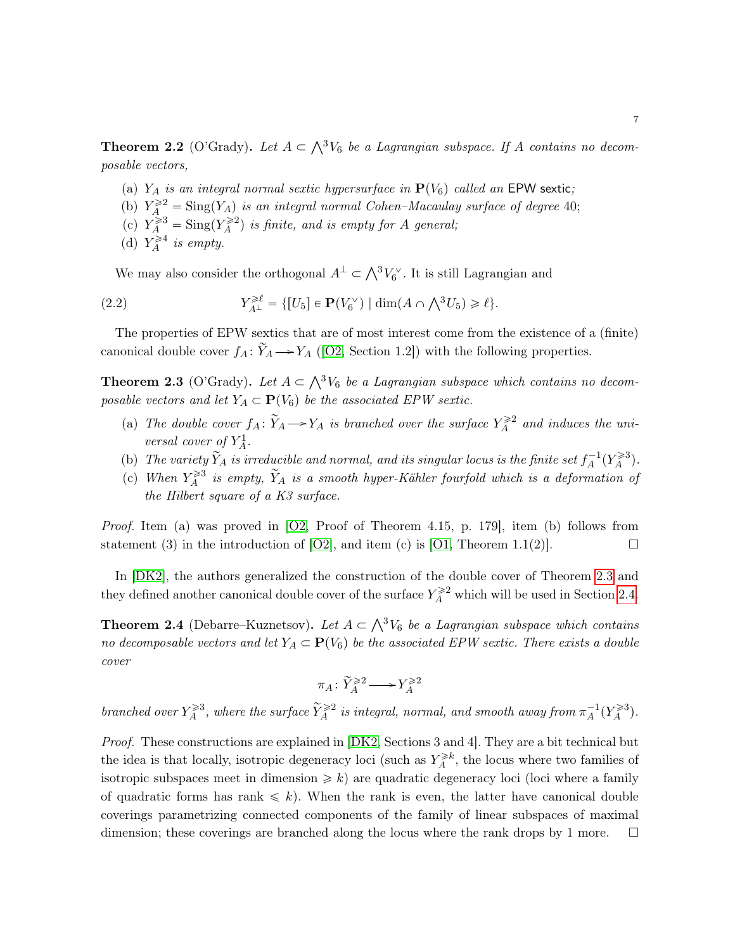**Theorem 2.2** (O'Grady). Let  $A \subset \bigwedge^3 V_6$  be a Lagrangian subspace. If A contains no decomposable vectors,

- (a)  $Y_A$  is an integral normal sextic hypersurface in  $P(V_6)$  called an EPW sextic;
- (b)  $Y_A^{\geq 2} = \text{Sing}(Y_A)$  is an integral normal Cohen–Macaulay surface of degree 40;
- (c)  $Y_A^{\geq 3} = \text{Sing}(Y_A^{\geq 2})$  is finite, and is empty for A general;
- (d)  $Y_A^{\geq 4}$  is empty.

<span id="page-6-1"></span>We may also consider the orthogonal  $A^{\perp} \subset \bigwedge^3 V_6^{\vee}$ . It is still Lagrangian and

(2.2) 
$$
Y_{A^{\perp}}^{\geq \ell} = \{ [U_5] \in \mathbf{P}(V_6^{\vee}) \mid \dim(A \cap \bigwedge^3 U_5) \geq \ell \}.
$$

The properties of EPW sextics that are of most interest come from the existence of a (finite) canonical double cover  $f_A: \widetilde{Y}_A \longrightarrow Y_A$  ([\[O2,](#page-24-0) Section 1.2]) with the following properties.

<span id="page-6-0"></span>**Theorem 2.3** (O'Grady). Let  $A \subset \bigwedge^3 V_6$  be a Lagrangian subspace which contains no decomposable vectors and let  $Y_A \subset \mathbf{P}(V_6)$  be the associated EPW sextic.

- (a) The double cover  $f_A: \widetilde{Y}_A \longrightarrow Y_A$  is branched over the surface  $Y_A^{\geq 2}$  and induces the universal cover of  $Y_A^1$ .
- (b) The variety  $\tilde{Y}_A$  is irreducible and normal, and its singular locus is the finite set  $f_A^{-1}(Y_A^{\geq 3})$ .
- (c) When  $Y_A^{\geq 3}$  is empty,  $\widetilde{Y}_A$  is a smooth hyper-Kähler fourfold which is a deformation of the Hilbert square of a K3 surface.

Proof. Item (a) was proved in [\[O2,](#page-24-0) Proof of Theorem 4.15, p. 179], item (b) follows from statement (3) in the introduction of [\[O2\]](#page-24-0), and item (c) is [\[O1,](#page-24-1) Theorem 1.1(2)].

In  $[DK2]$ , the authors generalized the construction of the double cover of Theorem [2.3](#page-6-0) and they defined another canonical double cover of the surface  $Y_A^{\geq 2}$  which will be used in Section [2.4.](#page-8-0)

**Theorem 2.4** (Debarre–Kuznetsov). Let  $A \subset \bigwedge^3 V_6$  be a Lagrangian subspace which contains no decomposable vectors and let  $Y_A \subset \mathbf{P}(V_6)$  be the associated EPW sextic. There exists a double cover

$$
\pi_A\colon \widetilde{Y}^{\geqslant 2}_A\!\longrightarrow\! Y^{\geqslant 2}_A
$$

branched over  $Y_A^{\geqslant 3}$ , where the surface  $\widetilde{Y}_A^{\geqslant 2}$  is integral, normal, and smooth away from  $\pi_A^{-1}(Y_A^{\geqslant 3})$ .

Proof. These constructions are explained in [\[DK2,](#page-23-2) Sections 3 and 4]. They are a bit technical but the idea is that locally, isotropic degeneracy loci (such as  $Y_A^{\geq k}$ , the locus where two families of isotropic subspaces meet in dimension  $\geq k$ ) are quadratic degeneracy loci (loci where a family of quadratic forms has rank  $\leq k$ ). When the rank is even, the latter have canonical double coverings parametrizing connected components of the family of linear subspaces of maximal dimension; these coverings are branched along the locus where the rank drops by 1 more.  $\square$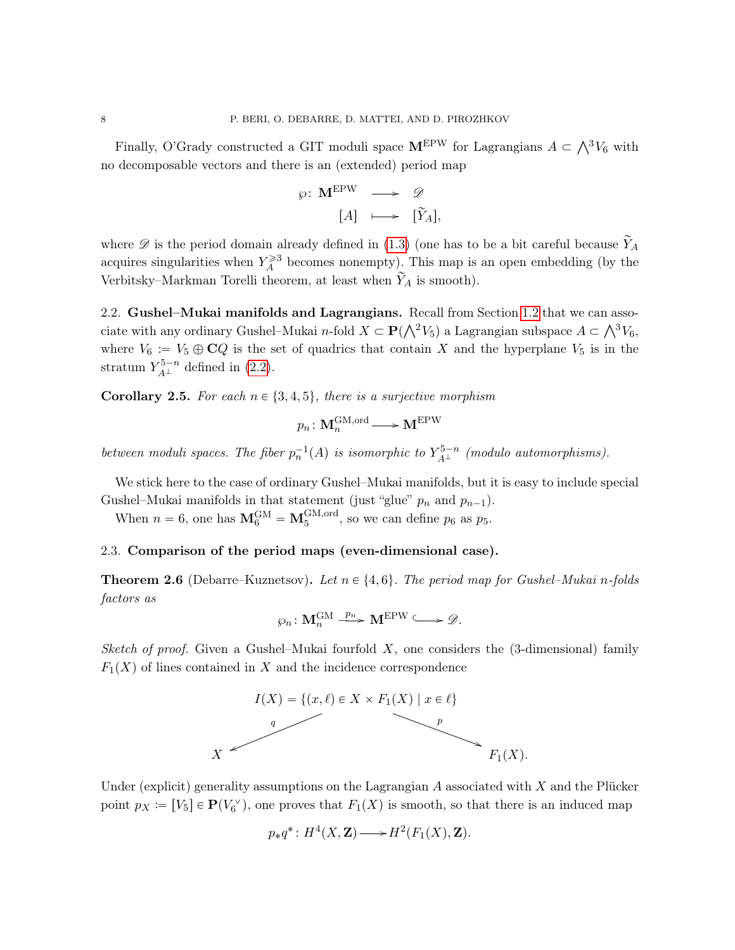Finally, O'Grady constructed a GIT moduli space  $M^{\text{EPW}}$  for Lagrangians  $A \subset \bigwedge^3 V_6$  with no decomposable vectors and there is an (extended) period map

$$
\varphi: \mathbf{M}^{\mathrm{EPW}} \longrightarrow \mathscr{D}
$$

$$
[A] \longmapsto [\widetilde{Y}_A],
$$

where  $\mathscr D$  is the period domain already defined in [\(1.3\)](#page-4-1) (one has to be a bit careful because  $\widetilde Y_A$ acquires singularities when  $Y_A^{\geq 3}$  becomes nonempty). This map is an open embedding (by the Verbitsky–Markman Torelli theorem, at least when  $\widetilde{Y}_A$  is smooth).

<span id="page-7-0"></span>2.2. Gushel–Mukai manifolds and Lagrangians. Recall from Section [1.2](#page-2-0) that we can asso-2.2. Gushel–Mukai manholds and Lagrangians. Recall from Section 1.2 that we can associate with any ordinary Gushel–Mukai *n*-fold  $X \subset \mathbf{P}(\bigwedge^2 V_5)$  a Lagrangian subspace  $A \subset \bigwedge^3 V_6$ , where  $V_6 := V_5 \oplus \mathbb{C}Q$  is the set of quadrics that contain X and the hyperplane  $V_5$  is in the stratum  $Y_{A^{\perp}}^{5-n}$  defined in [\(2.2\)](#page-6-1).

**Corollary 2.5.** For each  $n \in \{3, 4, 5\}$ , there is a surjective morphism

$$
p_n\colon \mathbf{M}_n^{\mathrm{GM,ord}} \mathop{\longrightarrow}\limits \mathbf{M}^{\mathrm{EPW}}
$$

between moduli spaces. The fiber  $p_n^{-1}(A)$  is isomorphic to  $Y_{A^{\perp}}^{5-n}$  (modulo automorphisms).

We stick here to the case of ordinary Gushel–Mukai manifolds, but it is easy to include special Gushel–Mukai manifolds in that statement (just "glue"  $p_n$  and  $p_{n-1}$ ).

When  $n = 6$ , one has  $\mathbf{M}_{6}^{GM} = \mathbf{M}_{5}^{GM,ord}$ , so we can define  $p_6$  as  $p_5$ .

#### <span id="page-7-1"></span>2.3. Comparison of the period maps (even-dimensional case).

**Theorem 2.6** (Debarre–Kuznetsov). Let  $n \in \{4, 6\}$ . The period map for Gushel–Mukai n-folds factors as

$$
\wp_n\colon \mathbf{M}_n^{\mathrm{GM}} \xrightarrow{p_n} \mathbf{M}^{\mathrm{EPW}} \longrightarrow \mathscr{D}.
$$

Sketch of proof. Given a Gushel–Mukai fourfold  $X$ , one considers the (3-dimensional) family  $F_1(X)$  of lines contained in X and the incidence correspondence



Under (explicit) generality assumptions on the Lagrangian  $A$  associated with  $X$  and the Plücker point  $p_X := [V_5] \in \mathbf{P}(V_6^{\vee})$ , one proves that  $F_1(X)$  is smooth, so that there is an induced map

$$
p_*q^*: H^4(X,\mathbf{Z}) \longrightarrow H^2(F_1(X),\mathbf{Z}).
$$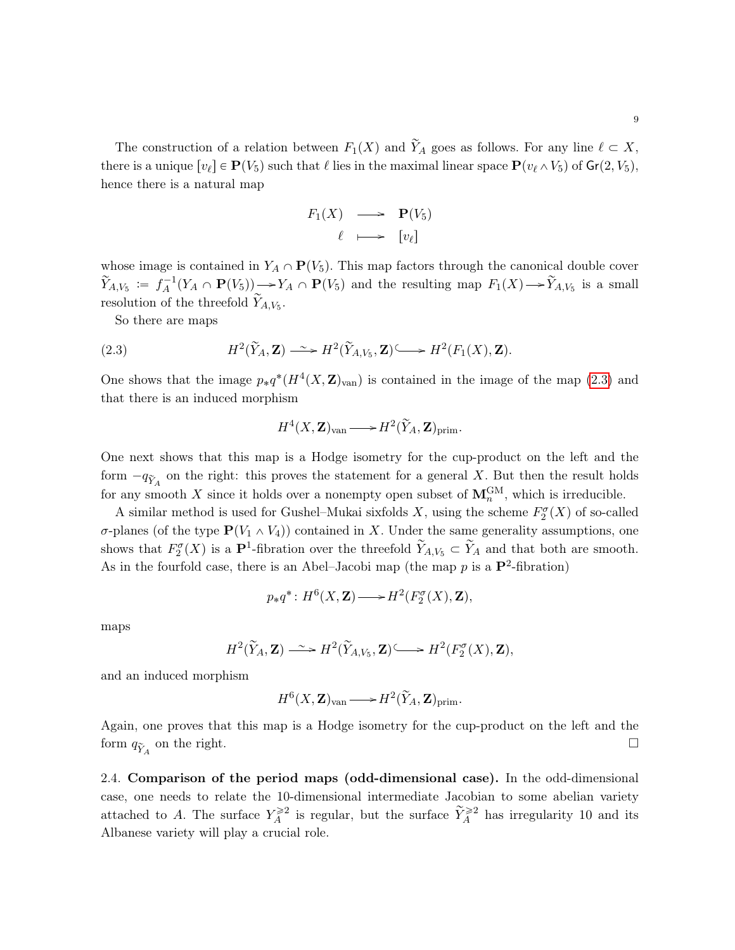The construction of a relation between  $F_1(X)$  and  $\widetilde{Y}_A$  goes as follows. For any line  $\ell \subset X$ , there is a unique  $[v_\ell] \in \mathbf{P}(V_5)$  such that  $\ell$  lies in the maximal linear space  $\mathbf{P}(v_\ell \wedge V_5)$  of  $\mathsf{Gr}(2, V_5)$ , hence there is a natural map

$$
F_1(X) \longrightarrow P(V_5) \\
\ell \longmapsto [v_{\ell}]
$$

whose image is contained in  $Y_A \cap \mathbf{P}(V_5)$ . This map factors through the canonical double cover  $\widetilde{Y}_{A,V_5} := f_A^{-1}(Y_A \cap \mathbf{P}(V_5)) \longrightarrow Y_A \cap \mathbf{P}(V_5)$  and the resulting map  $F_1(X) \longrightarrow \widetilde{Y}_{A,V_5}$  is a small resolution of the threefold  $\widetilde{Y}_{A,V_5}$ .

So there are maps

(2.3) 
$$
H^2(\widetilde{Y}_A, \mathbf{Z}) \longrightarrow H^2(\widetilde{Y}_{A, V_5}, \mathbf{Z}) \longrightarrow H^2(F_1(X), \mathbf{Z}).
$$

One shows that the image  $p_*q^*(H^4(X,\mathbf{Z})_{\text{van}})$  is contained in the image of the map [\(2.3\)](#page-8-1) and that there is an induced morphism

<span id="page-8-1"></span>
$$
H^4(X,{\bf Z})_{\mathrm{van}} {\longrightarrow} H^2(\widetilde{Y}_A,{\bf Z})_{\mathrm{prim}}.
$$

One next shows that this map is a Hodge isometry for the cup-product on the left and the form  $-q_{\tilde{Y}_A}$  on the right: this proves the statement for a general X. But then the result holds for any smooth X since it holds over a nonempty open subset of  $M_n^{\text{GM}}$ , which is irreducible.

A similar method is used for Gushel–Mukai sixfolds X, using the scheme  $F_2^{\sigma}(X)$  of so-called σ-planes (of the type  $P(V_1 \wedge V_4)$ ) contained in X. Under the same generality assumptions, one shows that  $F_2^{\sigma}(X)$  is a  $\mathbf{P}^1$ -fibration over the threefold  $\widetilde{Y}_{A,V_5} \subset \widetilde{Y}_A$  and that both are smooth. As in the fourfold case, there is an Abel–Jacobi map (the map  $p$  is a  $\mathbf{P}^2$ -fibration)

$$
p_*q^*: H^6(X, \mathbf{Z}) \longrightarrow H^2(F_2^{\sigma}(X), \mathbf{Z}),
$$

maps

$$
H^2(\widetilde{Y}_A, \mathbf{Z}) \longrightarrow H^2(\widetilde{Y}_{A, V_5}, \mathbf{Z}) \longrightarrow H^2(F_2^{\sigma}(X), \mathbf{Z}),
$$

and an induced morphism

$$
H^6(X,{\bf Z})_{\operatorname{van}} {\longrightarrow} H^2(\widetilde{Y}_A,{\bf Z})_{\operatorname{prim}}.
$$

Again, one proves that this map is a Hodge isometry for the cup-product on the left and the form  $q_{\tilde{Y}_A}$  on the right.

<span id="page-8-0"></span>2.4. Comparison of the period maps (odd-dimensional case). In the odd-dimensional case, one needs to relate the 10-dimensional intermediate Jacobian to some abelian variety attached to A. The surface  $Y_A^{\geq 2}$  is regular, but the surface  $\widetilde{Y}_A^{\geq 2}$  has irregularity 10 and its Albanese variety will play a crucial role.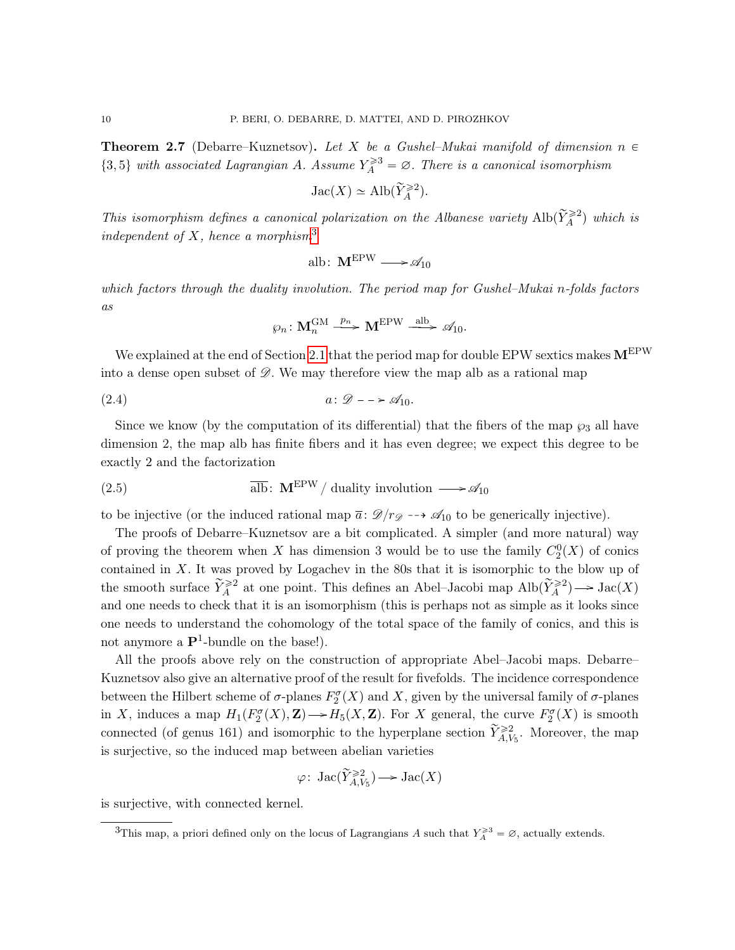**Theorem 2.7** (Debarre–Kuznetsov). Let X be a Gushel–Mukai manifold of dimension  $n \in$  $\{3,5\}$  with associated Lagrangian A. Assume  $Y_A^{\geq 3} = \emptyset$ . There is a canonical isomorphism

$$
\mathrm{Jac}(X)\simeq \mathrm{Alb}(\widetilde{Y}_{A}^{\geqslant 2}).
$$

This isomorphism defines a canonical polarization on the Albanese variety  $\text{Alb}(\widetilde{Y}_{A}^{\geqslant 2})$  which is independent of X, hence a morphism<sup>[3](#page-9-1)</sup>

$$
alb\colon \mathbf{M}^{EPW}\longrightarrow \mathscr{A}_{10}
$$

which factors through the duality involution. The period map for Gushel–Mukai n-folds factors as

<span id="page-9-0"></span>
$$
\wp_n\colon \mathbf{M}_n^{\mathrm{GM}} \stackrel{p_n}{\longrightarrow} \mathbf{M}^{\mathrm{EPW}} \stackrel{\mathrm{alb}}{\longrightarrow} \mathscr{A}_{10}.
$$

We explained at the end of Section [2.1](#page-5-1) that the period map for double EPW sextics makes  $M^{EPW}$ into a dense open subset of  $\mathscr{D}$ . We may therefore view the map alb as a rational map

$$
(2.4) \t\t a: \mathscr{D} \longrightarrow \mathscr{A}_{10}.
$$

Since we know (by the computation of its differential) that the fibers of the map  $\wp_3$  all have dimension 2, the map alb has finite fibers and it has even degree; we expect this degree to be exactly 2 and the factorization

<span id="page-9-2"></span>(2.5) 
$$
\overline{\text{alb}}: \mathbf{M}^{\text{EPW}} / \text{ duality involution } \longrightarrow \mathscr{A}_{10}
$$

to be injective (or the induced rational map  $\bar{a}: \mathcal{D}/r_{\mathcal{D}} \dashrightarrow \mathcal{A}_{10}$  to be generically injective).

The proofs of Debarre–Kuznetsov are a bit complicated. A simpler (and more natural) way of proving the theorem when X has dimension 3 would be to use the family  $C_2^0(X)$  of conics contained in  $X$ . It was proved by Logachev in the 80s that it is isomorphic to the blow up of the smooth surface  $\widetilde{Y}_A^{\geqslant 2}$  at one point. This defines an Abel–Jacobi map  $\mathrm{Alb}(\widetilde{Y}_A^{\geqslant 2}) \longrightarrow \mathrm{Jac}(X)$ and one needs to check that it is an isomorphism (this is perhaps not as simple as it looks since one needs to understand the cohomology of the total space of the family of conics, and this is not anymore a  $\mathbf{P}^1$ -bundle on the base!).

All the proofs above rely on the construction of appropriate Abel–Jacobi maps. Debarre– Kuznetsov also give an alternative proof of the result for fivefolds. The incidence correspondence between the Hilbert scheme of  $\sigma$ -planes  $F_2^{\sigma}(X)$  and X, given by the universal family of  $\sigma$ -planes in X, induces a map  $H_1(F_2^{\sigma}(X), \mathbf{Z}) \longrightarrow H_5(X, \mathbf{Z})$ . For X general, the curve  $F_2^{\sigma}(X)$  is smooth connected (of genus 161) and isomorphic to the hyperplane section  $\widetilde{Y}_{A,V_5}^{\geq 2}$ . Moreover, the map is surjective, so the induced map between abelian varieties

$$
\varphi\colon \operatorname{Jac}(\widetilde{Y}_{A,V_5}^{\geqslant 2})\longrightarrow \operatorname{Jac}(X)
$$

is surjective, with connected kernel.

<span id="page-9-1"></span><sup>&</sup>lt;sup>3</sup>This map, a priori defined only on the locus of Lagrangians A such that  $Y_A^{\geq 3} = \emptyset$ , actually extends.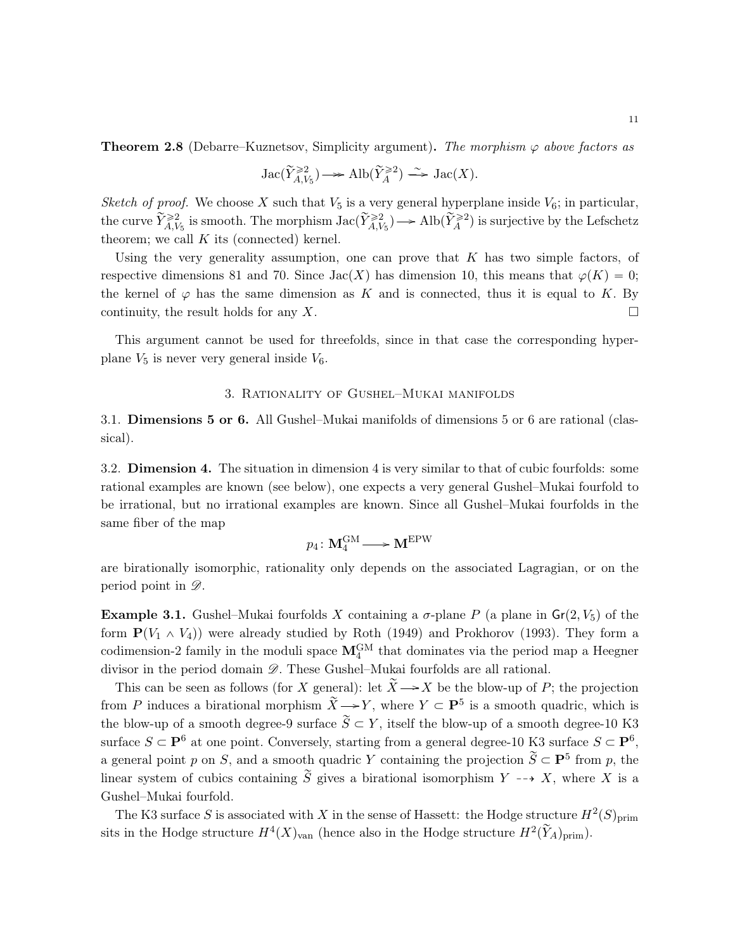**Theorem 2.8** (Debarre–Kuznetsov, Simplicity argument). The morphism  $\varphi$  above factors as

$$
\mathrm{Jac}(\widetilde{Y}_{A,V_5}^{\geqslant 2})\longrightarrow \mathrm{Alb}(\widetilde{Y}_{A}^{\geqslant 2})\stackrel{\sim}{\longrightarrow} \mathrm{Jac}(X).
$$

Sketch of proof. We choose X such that  $V_5$  is a very general hyperplane inside  $V_6$ ; in particular, the curve  $\widetilde{Y}_{A,V_5}^{\geqslant 2}$  is smooth. The morphism  $\operatorname{Jac}(\widetilde{Y}_{A,V_5}^{\geqslant 2}) \to \operatorname{Alb}(\widetilde{Y}_{A}^{\geqslant 2})$  is surjective by the Lefschetz theorem; we call  $K$  its (connected) kernel.

Using the very generality assumption, one can prove that  $K$  has two simple factors, of respective dimensions 81 and 70. Since  $Jac(X)$  has dimension 10, this means that  $\varphi(K) = 0$ ; the kernel of  $\varphi$  has the same dimension as K and is connected, thus it is equal to K. By continuity, the result holds for any X.

This argument cannot be used for threefolds, since in that case the corresponding hyperplane  $V_5$  is never very general inside  $V_6$ .

## 3. Rationality of Gushel–Mukai manifolds

<span id="page-10-1"></span><span id="page-10-0"></span>3.1. Dimensions 5 or 6. All Gushel–Mukai manifolds of dimensions 5 or 6 are rational (classical).

<span id="page-10-2"></span>3.2. Dimension 4. The situation in dimension 4 is very similar to that of cubic fourfolds: some rational examples are known (see below), one expects a very general Gushel–Mukai fourfold to be irrational, but no irrational examples are known. Since all Gushel–Mukai fourfolds in the same fiber of the map

$$
p_4\colon \mathbf{M}_4^{\mathrm{GM}} \longrightarrow \mathbf{M}^{\mathrm{EPW}}
$$

are birationally isomorphic, rationality only depends on the associated Lagragian, or on the period point in  $\mathscr{D}$ .

Example 3.1. Gushel–Mukai fourfolds X containing a  $\sigma$ -plane P (a plane in  $Gr(2, V_5)$ ) of the form  $\mathbf{P}(V_1 \wedge V_4)$  were already studied by Roth (1949) and Prokhorov (1993). They form a codimension-2 family in the moduli space  $\mathbf{M}_4^{\text{GM}}$  that dominates via the period map a Heegner divisor in the period domain  $\mathscr{D}$ . These Gushel–Mukai fourfolds are all rational.

This can be seen as follows (for X general): let  $\widetilde{X} \rightarrow X$  be the blow-up of P; the projection from P induces a birational morphism  $\widetilde{X} \longrightarrow Y$ , where  $Y \subset \mathbf{P}^5$  is a smooth quadric, which is the blow-up of a smooth degree-9 surface  $\widetilde{S} \subset Y$ , itself the blow-up of a smooth degree-10 K3 surface  $S \subset \mathbf{P}^6$  at one point. Conversely, starting from a general degree-10 K3 surface  $S \subset \mathbf{P}^6$ , a general point p on S, and a smooth quadric Y containing the projection  $\widetilde{S} \subset \mathbf{P}^5$  from p, the linear system of cubics containing  $\widetilde{S}$  gives a birational isomorphism  $Y \dashrightarrow X$ , where X is a Gushel–Mukai fourfold.

The K3 surface S is associated with X in the sense of Hassett: the Hodge structure  $H^2(S)_{\text{prim}}$ sits in the Hodge structure  $H^4(X)_{\text{van}}$  (hence also in the Hodge structure  $H^2(\widetilde{Y}_A)_{\text{prim}}$ ).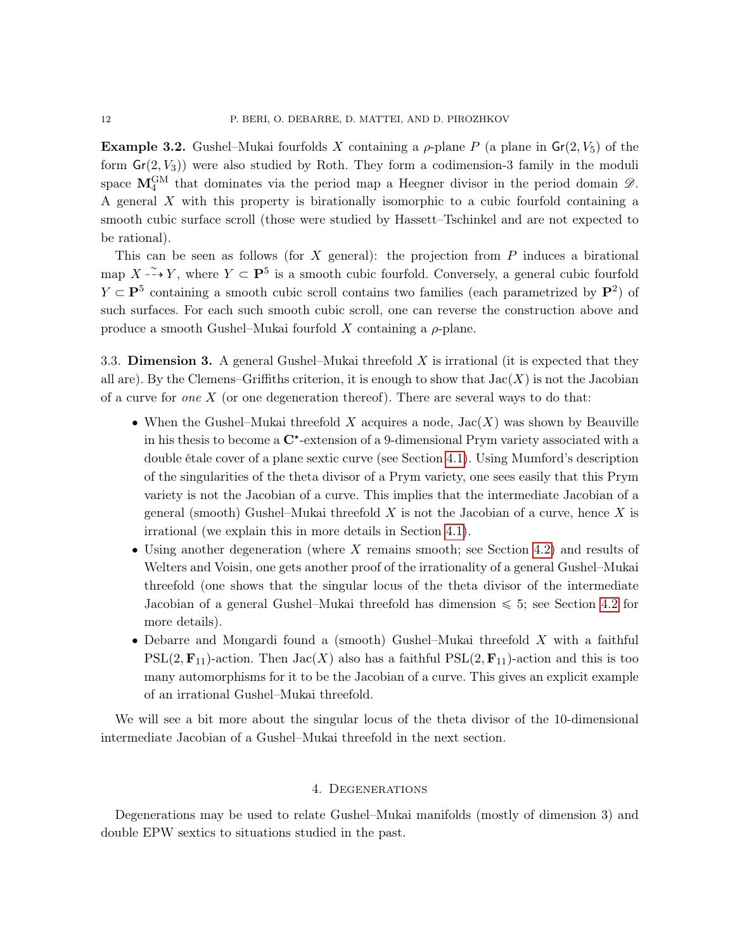**Example 3.2.** Gushel–Mukai fourfolds X containing a  $\rho$ -plane P (a plane in  $Gr(2, V_5)$ ) of the form  $Gr(2, V_3)$ ) were also studied by Roth. They form a codimension-3 family in the moduli space  $\mathbf{M}_4^{\text{GM}}$  that dominates via the period map a Heegner divisor in the period domain  $\mathscr{D}$ . A general X with this property is birationally isomorphic to a cubic fourfold containing a smooth cubic surface scroll (those were studied by Hassett–Tschinkel and are not expected to be rational).

This can be seen as follows (for X general): the projection from  $P$  induces a birational map  $X \to Y$ , where  $Y \subset \mathbf{P}^5$  is a smooth cubic fourfold. Conversely, a general cubic fourfold  $Y \subset \mathbf{P}^5$  containing a smooth cubic scroll contains two families (each parametrized by  $\mathbf{P}^2$ ) of such surfaces. For each such smooth cubic scroll, one can reverse the construction above and produce a smooth Gushel–Mukai fourfold X containing a  $\rho$ -plane.

<span id="page-11-0"></span>3.3. Dimension 3. A general Gushel–Mukai threefold  $X$  is irrational (it is expected that they all are). By the Clemens–Griffiths criterion, it is enough to show that  $Jac(X)$  is not the Jacobian of a curve for *one*  $X$  (or one degeneration thereof). There are several ways to do that:

- When the Gushel–Mukai threefold X acquires a node,  $Jac(X)$  was shown by Beauville in his thesis to become a  $C^*$ -extension of a 9-dimensional Prym variety associated with a double étale cover of a plane sextic curve (see Section [4.1\)](#page-12-0). Using Mumford's description of the singularities of the theta divisor of a Prym variety, one sees easily that this Prym variety is not the Jacobian of a curve. This implies that the intermediate Jacobian of a general (smooth) Gushel–Mukai threefold  $X$  is not the Jacobian of a curve, hence  $X$  is irrational (we explain this in more details in Section [4.1\)](#page-12-0).
- ' Using another degeneration (where X remains smooth; see Section [4.2\)](#page-13-0) and results of Welters and Voisin, one gets another proof of the irrationality of a general Gushel–Mukai threefold (one shows that the singular locus of the theta divisor of the intermediate Jacobian of a general Gushel–Mukai threefold has dimension  $\leq 5$ ; see Section [4.2](#page-13-0) for more details).
- ' Debarre and Mongardi found a (smooth) Gushel–Mukai threefold X with a faithful  $PSL(2, \mathbf{F}_{11})$ -action. Then  $Jac(X)$  also has a faithful  $PSL(2, \mathbf{F}_{11})$ -action and this is too many automorphisms for it to be the Jacobian of a curve. This gives an explicit example of an irrational Gushel–Mukai threefold.

We will see a bit more about the singular locus of the theta divisor of the 10-dimensional intermediate Jacobian of a Gushel–Mukai threefold in the next section.

## 4. Degenerations

<span id="page-11-1"></span>Degenerations may be used to relate Gushel–Mukai manifolds (mostly of dimension 3) and double EPW sextics to situations studied in the past.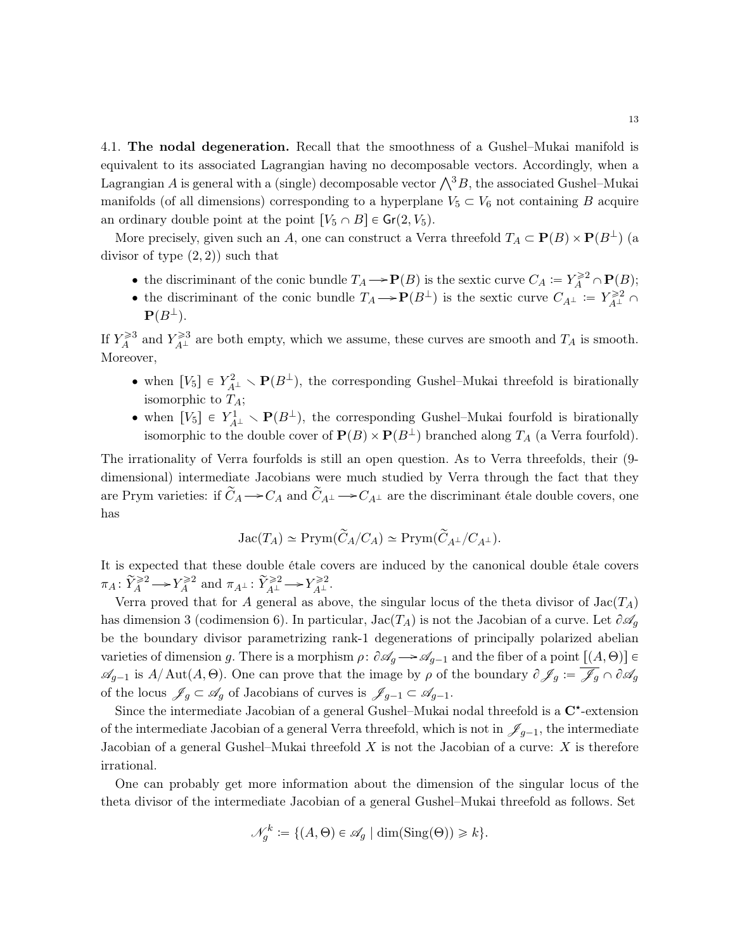<span id="page-12-0"></span>4.1. The nodal degeneration. Recall that the smoothness of a Gushel–Mukai manifold is equivalent to its associated Lagrangian having no decomposable vectors. Accordingly, when a Lagrangian A is general with a (single) decomposable vector  $\bigwedge^3 B$ , the associated Gushel–Mukai manifolds (of all dimensions) corresponding to a hyperplane  $V_5 \subset V_6$  not containing B acquire an ordinary double point at the point  $[V_5 \cap B] \in Gr(2, V_5)$ .

More precisely, given such an A, one can construct a Verra threefold  $T_A \subset \mathbf{P}(B) \times \mathbf{P}(B^{\perp})$  (a divisor of type  $(2, 2)$  such that

- the discriminant of the conic bundle  $T_A \to \mathbf{P}(B)$  is the sextic curve  $C_A := Y_A^{\geq 2} \cap \mathbf{P}(B)$ ;
- the discriminant of the conic bundle  $T_A \to \mathbf{P}(B^{\perp})$  is the sextic curve  $C_{A^{\perp}} := Y_{A^{\perp}}^{\geq 2} \cap$  $\mathbf{P}(B^{\perp}).$

If  $Y_A^{\geq 3}$  and  $Y_{A^\perp}^{\geq 3}$  are both empty, which we assume, these curves are smooth and  $T_A$  is smooth. Moreover,

- when  $[V_5] \in Y_{A^{\perp}}^2 \setminus \mathbf{P}(B^{\perp}),$  the corresponding Gushel–Mukai threefold is birationally isomorphic to  $T_A$ ;
- when  $[V_5] \in Y^1_{A^{\perp}} \setminus \mathbf{P}(B^{\perp})$ , the corresponding Gushel–Mukai fourfold is birationally isomorphic to the double cover of  $\mathbf{P}(B) \times \mathbf{P}(B^{\perp})$  branched along  $T_A$  (a Verra fourfold).

The irrationality of Verra fourfolds is still an open question. As to Verra threefolds, their (9 dimensional) intermediate Jacobians were much studied by Verra through the fact that they are Prym varieties: if  $\tilde{C}_A \to C_A$  and  $\tilde{C}_{A^{\perp}} \to C_{A^{\perp}}$  are the discriminant étale double covers, one has

$$
\operatorname{Jac}(T_A)\simeq \operatorname{Prym}(\widetilde{C}_A/C_A)\simeq \operatorname{Prym}(\widetilde{C}_{A^\perp}/C_{A^\perp}).
$$

It is expected that these double étale covers are induced by the canonical double étale covers  $\pi_A \colon \widetilde{Y}_A^{\geqslant 2} \longrightarrow Y_A^{\geqslant 2} \text{ and } \pi_{A^\perp} \colon \widetilde{Y}_{A^\perp}^{\geqslant 2} \longrightarrow Y_{A^\perp}^{\geqslant 2}.$ 

Verra proved that for A general as above, the singular locus of the theta divisor of  $Jac(T_A)$ has dimension 3 (codimension 6). In particular,  $Jac(T_A)$  is not the Jacobian of a curve. Let  $\partial \mathscr{A}_a$ be the boundary divisor parametrizing rank-1 degenerations of principally polarized abelian varieties of dimension g. There is a morphism  $\rho: \partial \mathscr{A}_g \longrightarrow \mathscr{A}_{g-1}$  and the fiber of a point  $[(A, \Theta)] \in$  $\mathscr{A}_{g-1}$  is  $A/\text{Aut}(A, \Theta)$ . One can prove that the image by  $\rho$  of the boundary  $\partial \mathscr{J}_g := \overline{\mathscr{J}_g} \cap \partial \mathscr{A}_g$ of the locus  $\mathscr{J}_g \subset \mathscr{A}_g$  of Jacobians of curves is  $\mathscr{J}_{g-1} \subset \mathscr{A}_{g-1}$ .

Since the intermediate Jacobian of a general Gushel–Mukai nodal threefold is a  $C^*$ -extension of the intermediate Jacobian of a general Verra threefold, which is not in  $\mathscr{J}_{g-1}$ , the intermediate Jacobian of a general Gushel–Mukai threefold  $X$  is not the Jacobian of a curve:  $X$  is therefore irrational.

One can probably get more information about the dimension of the singular locus of the theta divisor of the intermediate Jacobian of a general Gushel–Mukai threefold as follows. Set

$$
\mathcal{N}_g^k := \{ (A, \Theta) \in \mathscr{A}_g \mid \dim(\text{Sing}(\Theta)) \ge k \}.
$$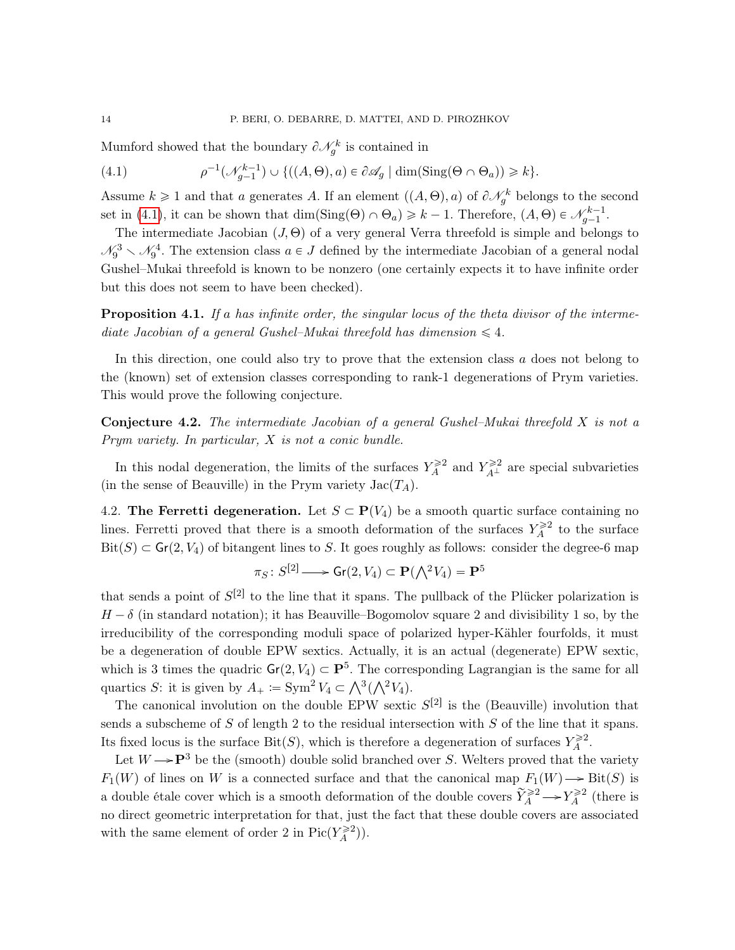Mumford showed that the boundary  $\partial \mathcal{N}_g^k$  is contained in

<span id="page-13-1"></span>(4.1) 
$$
\rho^{-1}(\mathcal{N}_{g-1}^{k-1}) \cup \{((A,\Theta),a) \in \partial \mathscr{A}_g \mid \dim(\text{Sing}(\Theta \cap \Theta_a)) \geq k\}.
$$

Assume  $k \geq 1$  and that a generates A. If an element  $((A, \Theta), a)$  of  $\partial \mathcal{N}_g^k$  belongs to the second set in [\(4.1\)](#page-13-1), it can be shown that  $\dim(\text{Sing}(\Theta) \cap \Theta_a) \geq k - 1$ . Therefore,  $(A, \Theta) \in \mathcal{N}_{g-1}^{k-1}$ .

The intermediate Jacobian  $(J, \Theta)$  of a very general Verra threefold is simple and belongs to  $\mathcal{N}_9^3 \setminus \mathcal{N}_9^4$ . The extension class  $a \in J$  defined by the intermediate Jacobian of a general nodal Gushel–Mukai threefold is known to be nonzero (one certainly expects it to have infinite order but this does not seem to have been checked).

Proposition 4.1. If a has infinite order, the singular locus of the theta divisor of the intermediate Jacobian of a general Gushel–Mukai threefold has dimension  $\leq 4$ .

In this direction, one could also try to prove that the extension class a does not belong to the (known) set of extension classes corresponding to rank-1 degenerations of Prym varieties. This would prove the following conjecture.

**Conjecture 4.2.** The intermediate Jacobian of a general Gushel–Mukai threefold  $X$  is not a Prym variety. In particular, X is not a conic bundle.

In this nodal degeneration, the limits of the surfaces  $Y_A^{\geq 2}$  and  $Y_{A^\perp}^{\geq 2}$  are special subvarieties (in the sense of Beauville) in the Prym variety  $Jac(T_A)$ .

<span id="page-13-0"></span>4.2. The Ferretti degeneration. Let  $S \subset \mathbf{P}(V_4)$  be a smooth quartic surface containing no lines. Ferretti proved that there is a smooth deformation of the surfaces  $Y_A^{\geq 2}$  to the surface  $\text{Bit}(S) \subset \text{Gr}(2, V_4)$  of bitangent lines to S. It goes roughly as follows: consider the degree-6 map

$$
\pi_S\colon S^{[2]}\longrightarrow \mathsf{Gr}(2,V_4)\subset \mathbf{P}(\textstyle{\bigwedge}^2 V_4)=\mathbf{P}^5
$$

that sends a point of  $S^{[2]}$  to the line that it spans. The pullback of the Plücker polarization is  $H - \delta$  (in standard notation); it has Beauville–Bogomolov square 2 and divisibility 1 so, by the irreducibility of the corresponding moduli space of polarized hyper-Kähler fourfolds, it must be a degeneration of double EPW sextics. Actually, it is an actual (degenerate) EPW sextic, which is 3 times the quadric  $\mathsf{Gr}(2, V_4) \subset \mathbf{P}^5$ . The corresponding Lagrangian is the same for all which is 3 times the quadric  $\mathbf{G}(\mathbf{Z}, V_4) \subseteq \mathbf{F}^*$ . The correquartics S: it is given by  $A_+ := \text{Sym}^2 V_4 \subset \bigwedge^3(\bigwedge^2 V_4)$ .

The canonical involution on the double EPW sextic  $S^{[2]}$  is the (Beauville) involution that sends a subscheme of  $S$  of length 2 to the residual intersection with  $S$  of the line that it spans. Its fixed locus is the surface Bit(S), which is therefore a degeneration of surfaces  $Y_A^{\geq 2}$ .

Let  $W \rightarrow P^3$  be the (smooth) double solid branched over S. Welters proved that the variety  $F_1(W)$  of lines on W is a connected surface and that the canonical map  $F_1(W) \longrightarrow \text{Bit}(S)$  is a double étale cover which is a smooth deformation of the double covers  $\widetilde{Y}_A^{\geq 2} \to Y_A^{\geq 2}$  (there is no direct geometric interpretation for that, just the fact that these double covers are associated with the same element of order 2 in  $Pic(Y_A^{\geq 2})$ .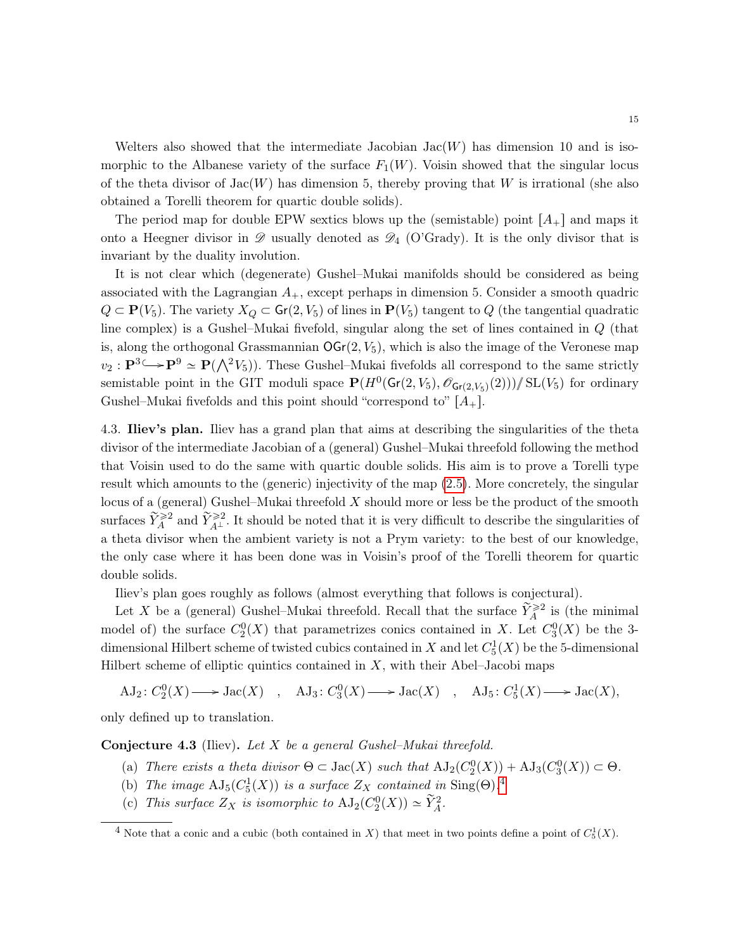Welters also showed that the intermediate Jacobian  $Jac(W)$  has dimension 10 and is isomorphic to the Albanese variety of the surface  $F_1(W)$ . Voisin showed that the singular locus of the theta divisor of  $Jac(W)$  has dimension 5, thereby proving that W is irrational (she also obtained a Torelli theorem for quartic double solids).

The period map for double EPW sextics blows up the (semistable) point  $[A_+]$  and maps it onto a Heegner divisor in  $\mathscr D$  usually denoted as  $\mathscr D_4$  (O'Grady). It is the only divisor that is invariant by the duality involution.

It is not clear which (degenerate) Gushel–Mukai manifolds should be considered as being associated with the Lagrangian  $A_+$ , except perhaps in dimension 5. Consider a smooth quadric  $Q \subset \mathbf{P}(V_5)$ . The variety  $X_Q \subset \mathsf{Gr}(2, V_5)$  of lines in  $\mathbf{P}(V_5)$  tangent to Q (the tangential quadratic line complex) is a Gushel–Mukai fivefold, singular along the set of lines contained in Q (that is, along the orthogonal Grassmannian  $\mathsf{OGr}(2, V_5)$ , which is also the image of the Veronese map is, along the orthogonal Grassmannian  $\text{OGr}(2, v_5)$ , which is also the image of the veronese map  $v_2 : \mathbf{P}^3 \hookrightarrow \mathbf{P}^9 \simeq \mathbf{P}(\bigwedge^2 V_5)$ . These Gushel–Mukai fivefolds all correspond to the same strictly semistable point in the GIT moduli space  $\mathbf{P}(H^0(\mathsf{Gr}(2, V_5), \mathscr{O}_{\mathsf{Gr}(2, V_5)}(2))) / \mathrm{SL}(V_5)$  for ordinary Gushel–Mukai fivefolds and this point should "correspond to"  $[A_+]$ .

<span id="page-14-0"></span>4.3. Iliev's plan. Iliev has a grand plan that aims at describing the singularities of the theta divisor of the intermediate Jacobian of a (general) Gushel–Mukai threefold following the method that Voisin used to do the same with quartic double solids. His aim is to prove a Torelli type result which amounts to the (generic) injectivity of the map [\(2.5\)](#page-9-2). More concretely, the singular locus of a (general) Gushel–Mukai threefold X should more or less be the product of the smooth surfaces  $\widetilde{Y}_A^{\geq 2}$  and  $\widetilde{Y}_{A^\perp}^{\geq 2}$ . It should be noted that it is very difficult to describe the singularities of a theta divisor when the ambient variety is not a Prym variety: to the best of our knowledge, the only case where it has been done was in Voisin's proof of the Torelli theorem for quartic double solids.

Iliev's plan goes roughly as follows (almost everything that follows is conjectural).

Let X be a (general) Gushel–Mukai threefold. Recall that the surface  $\widetilde{Y}_A^{\geqslant 2}$  is (the minimal model of) the surface  $C_2^0(X)$  that parametrizes conics contained in X. Let  $C_3^0(X)$  be the 3dimensional Hilbert scheme of twisted cubics contained in X and let  $C_5^1(X)$  be the 5-dimensional Hilbert scheme of elliptic quintics contained in  $X$ , with their Abel–Jacobi maps

 $AJ_2: C_2^0(X) \longrightarrow \text{Jac}(X)$ ,  $AJ_3: C_3^0(X) \longrightarrow \text{Jac}(X)$ ,  $AJ_5: C_5^1(X) \longrightarrow \text{Jac}(X)$ ,

only defined up to translation.

Conjecture 4.3 (Iliev). Let  $X$  be a general Gushel–Mukai threefold.

- (a) There exists a theta divisor  $\Theta \subset \text{Jac}(X)$  such that  $\text{AJ}_2(C_2^0(X)) + \text{AJ}_3(C_3^0(X)) \subset \Theta$ .
- (b) The image  $\text{AJ}_5(C_5^1(X))$  is a surface  $Z_X$  contained in Sing( $\Theta$ ).<sup>[4](#page-14-1)</sup>
- (c) This surface  $Z_X$  is isomorphic to  $\mathrm{AJ}_2(C_2^0(X)) \simeq \widetilde{Y}_A^2$ .

<span id="page-14-1"></span><sup>&</sup>lt;sup>4</sup> Note that a conic and a cubic (both contained in X) that meet in two points define a point of  $C_5^1(X)$ .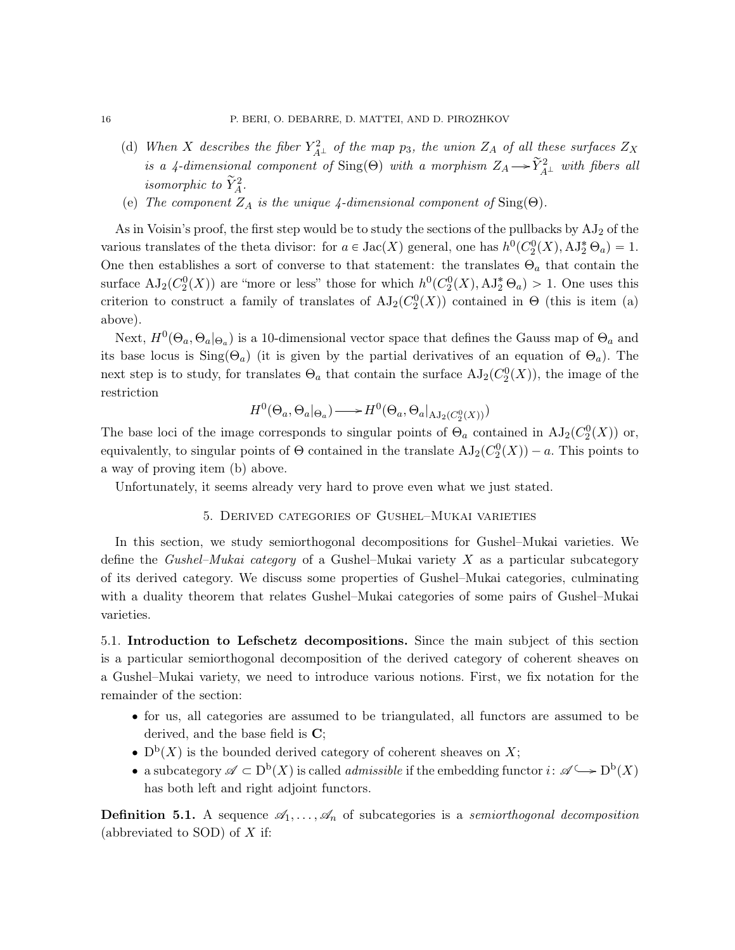- (d) When X describes the fiber  $Y_{A^{\perp}}^2$  of the map  $p_3$ , the union  $Z_A$  of all these surfaces  $Z_X$ is a 4-dimensional component of Sing( $\Theta$ ) with a morphism  $Z_A \rightarrow \tilde{Y}_{A\perp}^2$  with fibers all isomorphic to  $\widetilde{Y}_{A}^{2}$ .
- (e) The component  $Z_A$  is the unique 4-dimensional component of  $\text{Sing}(\Theta)$ .

As in Voisin's proof, the first step would be to study the sections of the pullbacks by  $AJ_2$  of the various translates of the theta divisor: for  $a \in \text{Jac}(X)$  general, one has  $h^0(C_2^0(X), \text{AJ}_2^* \Theta_a) = 1$ . One then establishes a sort of converse to that statement: the translates  $\Theta_a$  that contain the surface  $AJ_2(C_2^0(X))$  are "more or less" those for which  $h^0(C_2^0(X), AJ_2^* \Theta_a) > 1$ . One uses this criterion to construct a family of translates of  $AJ_2(C_2^0(X))$  contained in  $\Theta$  (this is item (a) above).

Next,  $H^0(\Theta_a, \Theta_a |_{\Theta_a})$  is a 10-dimensional vector space that defines the Gauss map of  $\Theta_a$  and its base locus is  $\text{Sing}(\Theta_a)$  (it is given by the partial derivatives of an equation of  $\Theta_a$ ). The next step is to study, for translates  $\Theta_a$  that contain the surface  $\mathrm{AJ}_2(C_2^0(X))$ , the image of the restriction

$$
H^{0}(\Theta_{a}, \Theta_{a} |_{\Theta_{a}}) \longrightarrow H^{0}(\Theta_{a}, \Theta_{a} |_{AJ_{2}(C_{2}^{0}(X))})
$$

The base loci of the image corresponds to singular points of  $\Theta_a$  contained in  $\text{AJ}_2(\mathcal{C}_2^0(X))$  or, equivalently, to singular points of  $\Theta$  contained in the translate  $AJ_2(C_2^0(X)) - a$ . This points to a way of proving item (b) above.

<span id="page-15-0"></span>Unfortunately, it seems already very hard to prove even what we just stated.

## 5. Derived categories of Gushel–Mukai varieties

In this section, we study semiorthogonal decompositions for Gushel–Mukai varieties. We define the *Gushel–Mukai category* of a Gushel–Mukai variety  $X$  as a particular subcategory of its derived category. We discuss some properties of Gushel–Mukai categories, culminating with a duality theorem that relates Gushel–Mukai categories of some pairs of Gushel–Mukai varieties.

<span id="page-15-1"></span>5.1. Introduction to Lefschetz decompositions. Since the main subject of this section is a particular semiorthogonal decomposition of the derived category of coherent sheaves on a Gushel–Mukai variety, we need to introduce various notions. First, we fix notation for the remainder of the section:

- ' for us, all categories are assumed to be triangulated, all functors are assumed to be derived, and the base field is C;
- $D^{b}(X)$  is the bounded derived category of coherent sheaves on X;
- a subcategory  $\mathscr{A} \subset D^b(X)$  is called *admissible* if the embedding functor  $i: \mathscr{A} \longrightarrow D^b(X)$ has both left and right adjoint functors.

**Definition 5.1.** A sequence  $\mathscr{A}_1, \ldots, \mathscr{A}_n$  of subcategories is a *semiorthogonal decomposition* (abbreviated to SOD) of  $X$  if: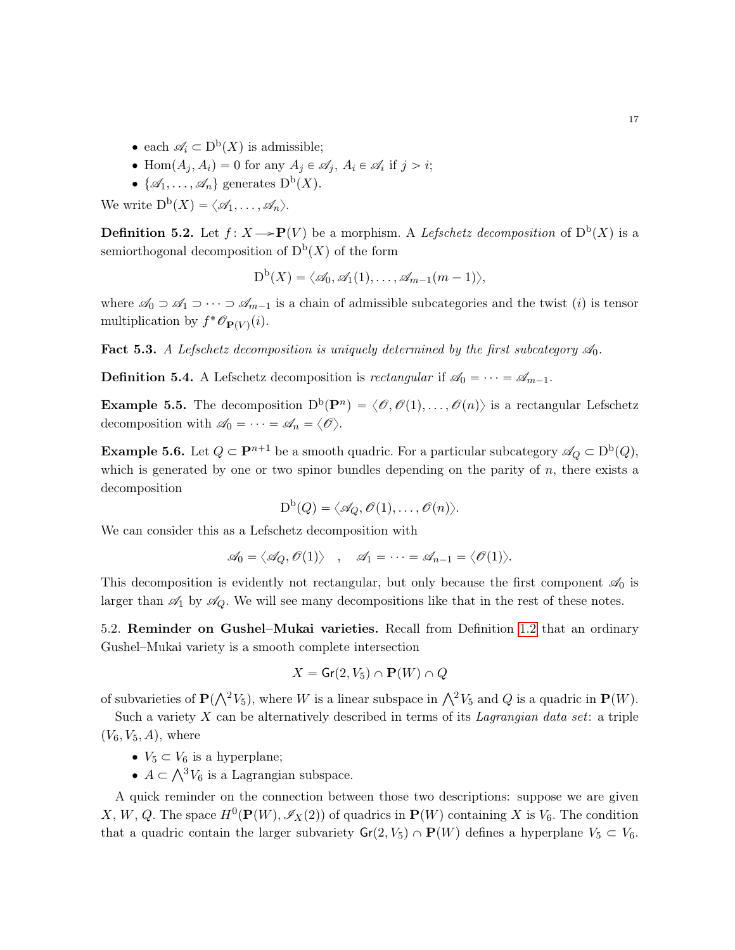- each  $\mathscr{A}_i \subset D^{\mathrm{b}}(X)$  is admissible;
- Hom $(A_j, A_i) = 0$  for any  $A_j \in \mathscr{A}_i$ ,  $A_i \in \mathscr{A}_i$  if  $j > i$ ;
- $\{\mathscr{A}_1,\ldots,\mathscr{A}_n\}$  generates  $D^b(X)$ .

We write  $D^{\mathrm{b}}(X) = \langle \mathscr{A}_1, \ldots, \mathscr{A}_n \rangle$ .

**Definition 5.2.** Let  $f: X \rightarrow \mathbf{P}(V)$  be a morphism. A Lefschetz decomposition of  $D^{b}(X)$  is a semiorthogonal decomposition of  $D^b(X)$  of the form

$$
D^{b}(X) = \langle \mathscr{A}_{0}, \mathscr{A}_{1}(1), \ldots, \mathscr{A}_{m-1}(m-1) \rangle,
$$

where  $\mathscr{A}_0 \supset \mathscr{A}_1 \supset \cdots \supset \mathscr{A}_{m-1}$  is a chain of admissible subcategories and the twist *(i)* is tensor multiplication by  $f^*{\mathscr O}_{{\bf P}(V)}(i)$ .

Fact 5.3. A Lefschetz decomposition is uniquely determined by the first subcategory  $\mathcal{A}_0$ .

**Definition 5.4.** A Lefschetz decomposition is *rectangular* if  $\mathscr{A}_0 = \cdots = \mathscr{A}_{m-1}$ .

**Example 5.5.** The decomposition  $D^b(P^n) = \langle \mathcal{O}, \mathcal{O}(1), \ldots, \mathcal{O}(n) \rangle$  is a rectangular Lefschetz decomposition with  $\mathscr{A}_0 = \cdots = \mathscr{A}_n = \langle \mathscr{O} \rangle$ .

<span id="page-16-1"></span>**Example 5.6.** Let  $Q \subset \mathbf{P}^{n+1}$  be a smooth quadric. For a particular subcategory  $\mathscr{A}_Q \subset D^b(Q)$ , which is generated by one or two spinor bundles depending on the parity of  $n$ , there exists a decomposition

$$
\mathrm{D}^{\mathrm{b}}(Q)=\langle \mathscr{A}_Q, \mathscr{O}(1),\ldots,\mathscr{O}(n)\rangle.
$$

We can consider this as a Lefschetz decomposition with

$$
\mathscr{A}_0 = \langle \mathscr{A}_Q, \mathscr{O}(1) \rangle \quad , \quad \mathscr{A}_1 = \cdots = \mathscr{A}_{n-1} = \langle \mathscr{O}(1) \rangle.
$$

This decomposition is evidently not rectangular, but only because the first component  $\mathscr{A}_0$  is larger than  $\mathcal{A}_1$  by  $\mathcal{A}_Q$ . We will see many decompositions like that in the rest of these notes.

<span id="page-16-0"></span>5.2. Reminder on Gushel–Mukai varieties. Recall from Definition [1.2](#page-2-2) that an ordinary Gushel–Mukai variety is a smooth complete intersection

$$
X = \mathsf{Gr}(2, V_5) \cap \mathbf{P}(W) \cap Q
$$

of subvarieties of  $\mathbf{P}(\bigwedge^2 V_5)$ , where W is a linear subspace in  $\bigwedge^2 V_5$  and Q is a quadric in  $\mathbf{P}(W)$ .

Such a variety  $X$  can be alternatively described in terms of its Lagrangian data set: a triple  $(V_6, V_5, A)$ , where

- $V_5 \subset V_6$  is a hyperplane;
- $v_5 \subset v_6$  is a hyperplane;<br>•  $A \subset \bigwedge^3 V_6$  is a Lagrangian subspace.

A quick reminder on the connection between those two descriptions: suppose we are given X, W, Q. The space  $H^0(\mathbf{P}(W), \mathscr{I}_X(2))$  of quadrics in  $\mathbf{P}(W)$  containing X is  $V_6$ . The condition that a quadric contain the larger subvariety  $Gr(2, V_5) \cap P(W)$  defines a hyperplane  $V_5 \subset V_6$ .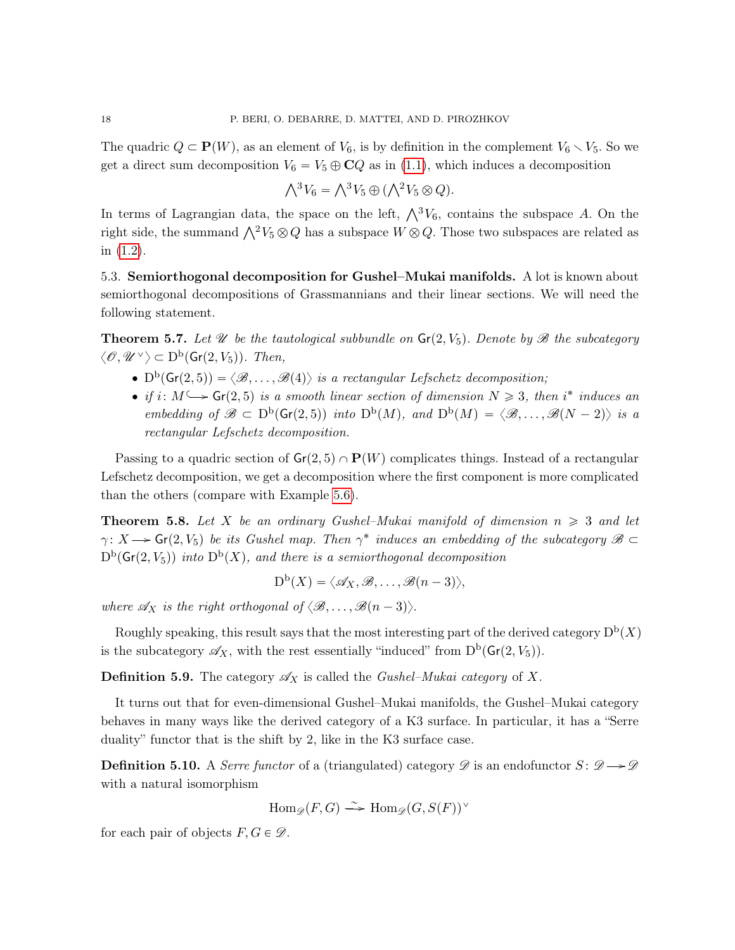The quadric  $Q \subset \mathbf{P}(W)$ , as an element of  $V_6$ , is by definition in the complement  $V_6 \setminus V_5$ . So we get a direct sum decomposition  $V_6 = V_5 \oplus \mathbb{C}Q$  as in [\(1.1\)](#page-2-3), which induces a decomposition

$$
\bigwedge^3 V_6 = \bigwedge^3 V_5 \oplus (\bigwedge^2 V_5 \otimes Q).
$$

In terms of Lagrangian data, the space on the left,  $\bigwedge^3 V_6$ , contains the subspace A. On the right side, the summand  $\bigwedge^2 V_5 \otimes Q$  has a subspace  $W \otimes Q$ . Those two subspaces are related as in [\(1.2\)](#page-2-4).

<span id="page-17-0"></span>5.3. Semiorthogonal decomposition for Gushel–Mukai manifolds. A lot is known about semiorthogonal decompositions of Grassmannians and their linear sections. We will need the following statement.

**Theorem 5.7.** Let U be the tautological subbundle on  $\mathsf{Gr}(2, V_5)$ . Denote by B the subcategory  $\langle \mathcal{O}, \mathcal{U}^{\vee} \rangle \subset D^{\rm b}(\mathsf{Gr}(2, V_5))$ . Then,

- $D^b(\mathsf{Gr}(2,5)) = \langle \mathcal{B}, \ldots, \mathcal{B}(4) \rangle$  is a rectangular Lefschetz decomposition;
- if  $i: M \longrightarrow$   $Gr(2, 5)$  is a smooth linear section of dimension  $N \geq 3$ , then i<sup>\*</sup> induces an embedding of  $\mathscr{B} \subset D^b(\mathsf{Gr}(2,5))$  into  $D^b(M)$ , and  $D^b(M) = \langle \mathscr{B}, \ldots, \mathscr{B}(N-2) \rangle$  is a rectangular Lefschetz decomposition.

Passing to a quadric section of  $\mathsf{Gr}(2,5) \cap \mathbf{P}(W)$  complicates things. Instead of a rectangular Lefschetz decomposition, we get a decomposition where the first component is more complicated than the others (compare with Example [5.6\)](#page-16-1).

**Theorem 5.8.** Let X be an ordinary Gushel–Mukai manifold of dimension  $n \geq 3$  and let  $\gamma: X \longrightarrow$  Gr(2, V<sub>5</sub>) be its Gushel map. Then  $\gamma^*$  induces an embedding of the subcategory  $\mathscr{B} \subset$  $D^b(\mathsf{Gr}(2, V_5))$  into  $D^b(X)$ , and there is a semiorthogonal decomposition

$$
D^{b}(X) = \langle \mathscr{A}_{X}, \mathscr{B}, \ldots, \mathscr{B}(n-3) \rangle,
$$

where  $\mathscr{A}_X$  is the right orthogonal of  $\langle \mathscr{B}, \ldots, \mathscr{B}(n-3)\rangle$ .

Roughly speaking, this result says that the most interesting part of the derived category  $D^b(X)$ is the subcategory  $\mathscr{A}_X$ , with the rest essentially "induced" from  $D^b(\mathsf{Gr}(2, V_5))$ .

**Definition 5.9.** The category  $\mathscr{A}_X$  is called the *Gushel–Mukai category* of X.

It turns out that for even-dimensional Gushel–Mukai manifolds, the Gushel–Mukai category behaves in many ways like the derived category of a K3 surface. In particular, it has a "Serre duality" functor that is the shift by 2, like in the K3 surface case.

**Definition 5.10.** A *Serre functor* of a (triangulated) category  $\mathscr{D}$  is an endofunctor  $S: \mathscr{D} \rightarrow \mathscr{D}$ with a natural isomorphism

$$
\operatorname{Hom}_{\mathscr{D}}(F,G) \xrightarrow{\sim} \operatorname{Hom}_{\mathscr{D}}(G,S(F))^{\vee}
$$

for each pair of objects  $F, G \in \mathcal{D}$ .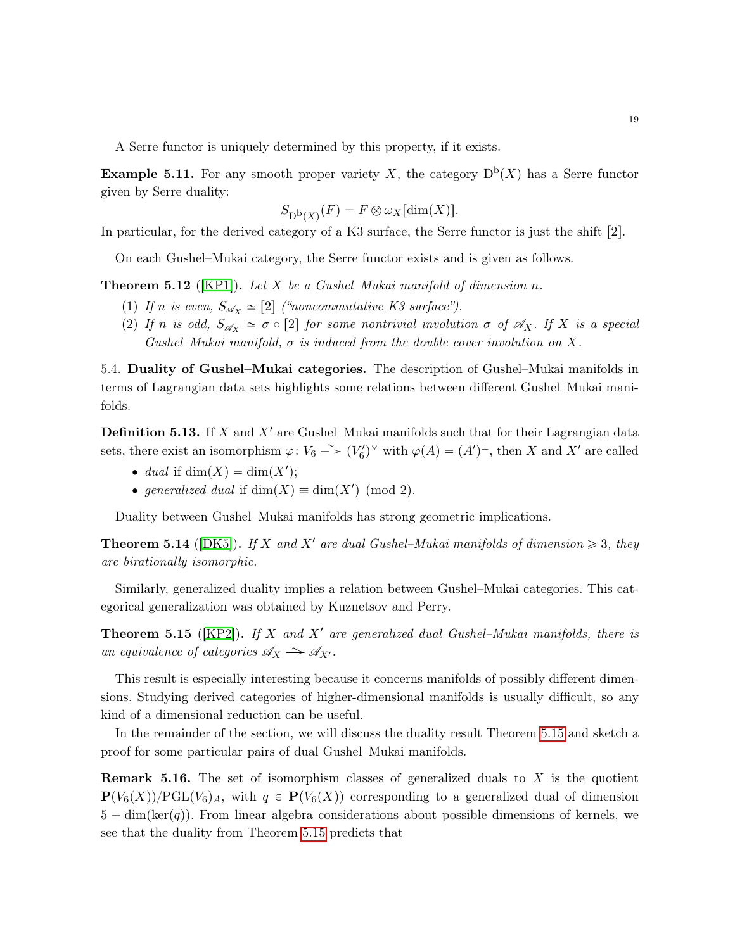A Serre functor is uniquely determined by this property, if it exists.

**Example 5.11.** For any smooth proper variety X, the category  $D^{b}(X)$  has a Serre functor given by Serre duality:

$$
S_{\mathrm{D}^{\mathrm{b}}(X)}(F)=F\otimes \omega_X[\dim(X)].
$$

In particular, for the derived category of a K3 surface, the Serre functor is just the shift  $[2]$ .

On each Gushel–Mukai category, the Serre functor exists and is given as follows.

**Theorem 5.12** ([\[KP1\]](#page-24-2)). Let  $X$  be a Gushel–Mukai manifold of dimension  $n$ .

- (1) If n is even,  $S_{\mathscr{A}_X} \simeq [2]$  ("noncommutative K3 surface").
- (2) If n is odd,  $S_{\mathscr{A}_X} \simeq \sigma \circ [2]$  for some nontrivial involution  $\sigma$  of  $\mathscr{A}_X$ . If X is a special Gushel–Mukai manifold,  $\sigma$  is induced from the double cover involution on X.

<span id="page-18-0"></span>5.4. Duality of Gushel–Mukai categories. The description of Gushel–Mukai manifolds in terms of Lagrangian data sets highlights some relations between different Gushel–Mukai manifolds.

<span id="page-18-3"></span>**Definition 5.13.** If X and  $X'$  are Gushel–Mukai manifolds such that for their Lagrangian data sets, there exist an isomorphism  $\varphi: V_6 \longrightarrow (V'_6)^{\vee}$  with  $\varphi(A) = (A')^{\perp}$ , then X and X' are called

- $\bullet$  dual if dim $(X) = \dim(X')$ ;
- generalized dual if  $\dim(X) \equiv \dim(X') \pmod{2}$ .

Duality between Gushel–Mukai manifolds has strong geometric implications.

<span id="page-18-2"></span>**Theorem 5.14** ([\[DK5\]](#page-24-3)). If X and X' are dual Gushel–Mukai manifolds of dimension  $\geq 3$ , they are birationally isomorphic.

Similarly, generalized duality implies a relation between Gushel–Mukai categories. This categorical generalization was obtained by Kuznetsov and Perry.

<span id="page-18-1"></span>**Theorem 5.15** ([\[KP2\]](#page-24-4)). If X and X' are generalized dual Gushel–Mukai manifolds, there is an equivalence of categories  $\mathscr{A}_X \xrightarrow{\sim} \mathscr{A}_{X'}$ .

This result is especially interesting because it concerns manifolds of possibly different dimensions. Studying derived categories of higher-dimensional manifolds is usually difficult, so any kind of a dimensional reduction can be useful.

In the remainder of the section, we will discuss the duality result Theorem [5.15](#page-18-1) and sketch a proof for some particular pairs of dual Gushel–Mukai manifolds.

**Remark 5.16.** The set of isomorphism classes of generalized duals to  $X$  is the quotient  ${\bf P}(V_6(X))/\text{PGL}(V_6)$ , with  $q \in {\bf P}(V_6(X))$  corresponding to a generalized dual of dimension  $5 - \dim(\ker(q))$ . From linear algebra considerations about possible dimensions of kernels, we see that the duality from Theorem [5.15](#page-18-1) predicts that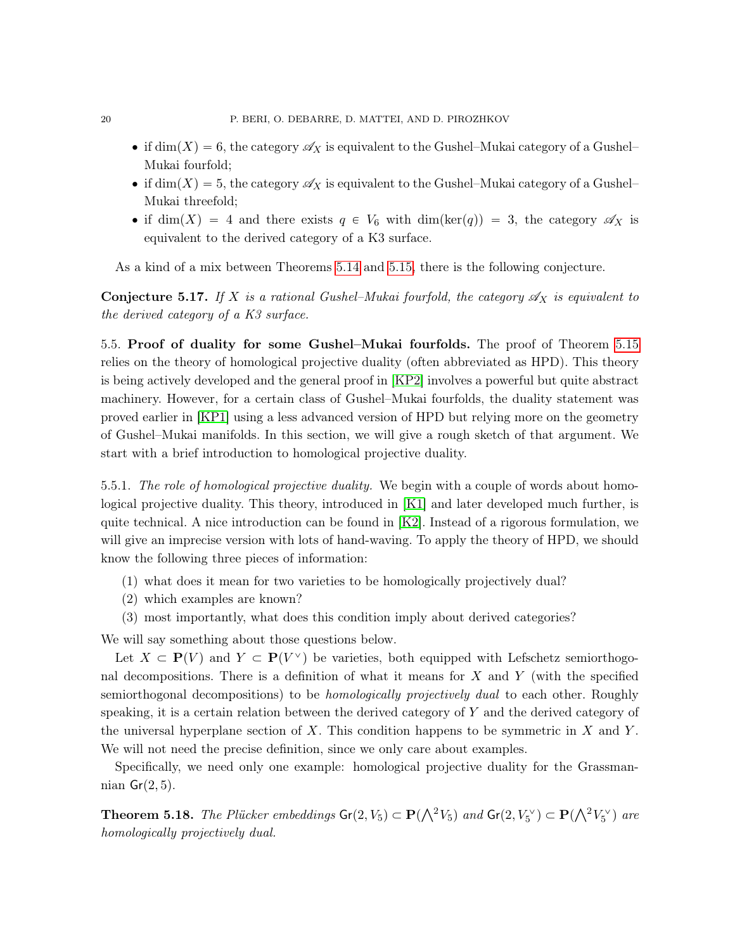- if  $\dim(X) = 6$ , the category  $\mathscr{A}_X$  is equivalent to the Gushel–Mukai category of a Gushel– Mukai fourfold;
- if  $\dim(X) = 5$ , the category  $\mathscr{A}_X$  is equivalent to the Gushel–Mukai category of a Gushel– Mukai threefold;
- if dim $(X) = 4$  and there exists  $q \in V_6$  with dim $(\ker(q)) = 3$ , the category  $\mathscr{A}_X$  is equivalent to the derived category of a K3 surface.

As a kind of a mix between Theorems [5.14](#page-18-2) and [5.15,](#page-18-1) there is the following conjecture.

**Conjecture 5.17.** If X is a rational Gushel–Mukai fourfold, the category  $\mathscr{A}_X$  is equivalent to the derived category of a K3 surface.

<span id="page-19-0"></span>5.5. Proof of duality for some Gushel–Mukai fourfolds. The proof of Theorem [5.15](#page-18-1) relies on the theory of homological projective duality (often abbreviated as HPD). This theory is being actively developed and the general proof in [\[KP2\]](#page-24-4) involves a powerful but quite abstract machinery. However, for a certain class of Gushel–Mukai fourfolds, the duality statement was proved earlier in [\[KP1\]](#page-24-2) using a less advanced version of HPD but relying more on the geometry of Gushel–Mukai manifolds. In this section, we will give a rough sketch of that argument. We start with a brief introduction to homological projective duality.

5.5.1. The role of homological projective duality. We begin with a couple of words about homological projective duality. This theory, introduced in [\[K1\]](#page-24-5) and later developed much further, is quite technical. A nice introduction can be found in  $[K2]$ . Instead of a rigorous formulation, we will give an imprecise version with lots of hand-waving. To apply the theory of HPD, we should know the following three pieces of information:

- (1) what does it mean for two varieties to be homologically projectively dual?
- (2) which examples are known?
- (3) most importantly, what does this condition imply about derived categories?

We will say something about those questions below.

Let  $X \subset \mathbf{P}(V)$  and  $Y \subset \mathbf{P}(V^{\vee})$  be varieties, both equipped with Lefschetz semiorthogonal decompositions. There is a definition of what it means for  $X$  and  $Y$  (with the specified semiorthogonal decompositions) to be *homologically projectively dual* to each other. Roughly speaking, it is a certain relation between the derived category of Y and the derived category of the universal hyperplane section of X. This condition happens to be symmetric in X and Y. We will not need the precise definition, since we only care about examples.

Specifically, we need only one example: homological projective duality for the Grassmannian  $Gr(2, 5)$ .

<span id="page-19-1"></span>**Theorem 5.18.** The Plücker embeddings  $Gr(2, V_5) \subset P(\bigwedge^2 V_5)$  and  $Gr(2, V_5^{\vee}) \subset P(\bigwedge^2 V_5^{\vee})$  are homologically projectively dual.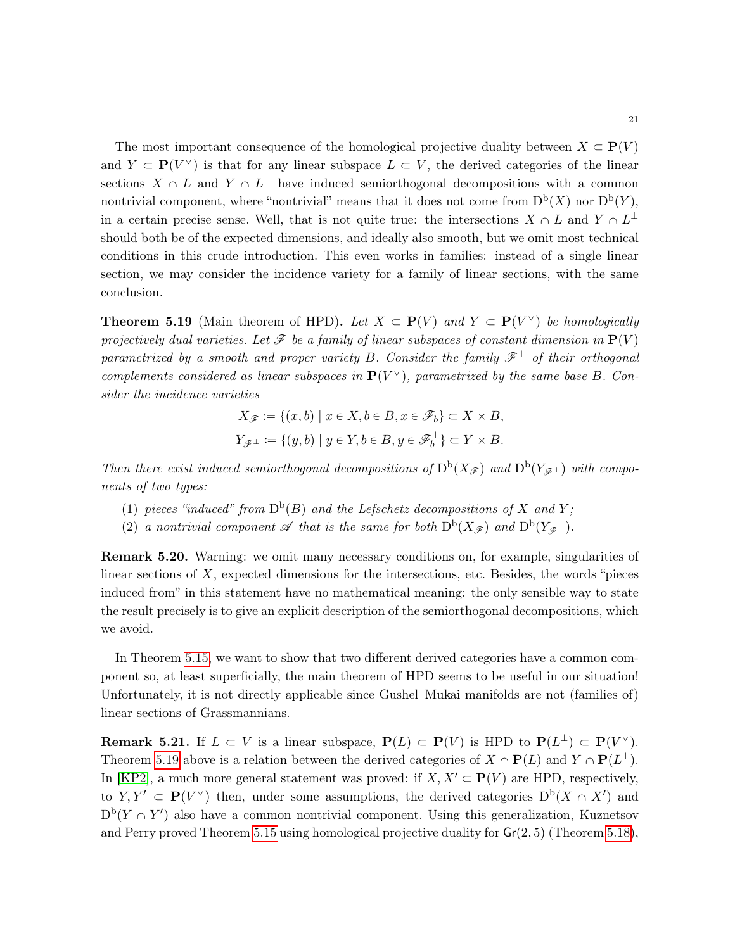The most important consequence of the homological projective duality between  $X \subset \mathbf{P}(V)$ and  $Y \subset \mathbf{P}(V^{\vee})$  is that for any linear subspace  $L \subset V$ , the derived categories of the linear sections  $X \cap L$  and  $Y \cap L^{\perp}$  have induced semiorthogonal decompositions with a common nontrivial component, where "nontrivial" means that it does not come from  $D^b(X)$  nor  $D^b(Y)$ , in a certain precise sense. Well, that is not quite true: the intersections  $X \cap L$  and  $Y \cap L^{\perp}$ should both be of the expected dimensions, and ideally also smooth, but we omit most technical conditions in this crude introduction. This even works in families: instead of a single linear section, we may consider the incidence variety for a family of linear sections, with the same conclusion.

<span id="page-20-0"></span>**Theorem 5.19** (Main theorem of HPD). Let  $X \subset \mathbf{P}(V)$  and  $Y \subset \mathbf{P}(V^{\vee})$  be homologically projectively dual varieties. Let  $\mathscr F$  be a family of linear subspaces of constant dimension in  $\mathbf P(V)$ parametrized by a smooth and proper variety B. Consider the family  $\mathscr{F}^{\perp}$  of their orthogonal complements considered as linear subspaces in  $P(V^{\vee})$ , parametrized by the same base B. Consider the incidence varieties

$$
X_{\mathscr{F}} := \{(x, b) \mid x \in X, b \in B, x \in \mathscr{F}_b\} \subset X \times B,
$$
  

$$
Y_{\mathscr{F}^{\perp}} := \{(y, b) \mid y \in Y, b \in B, y \in \mathscr{F}_b^{\perp}\} \subset Y \times B.
$$

Then there exist induced semiorthogonal decompositions of  $D^b(X_{\mathscr{F}})$  and  $D^b(Y_{\mathscr{F}^{\perp}})$  with components of two types:

- (1) pieces "induced" from  $D^b(B)$  and the Lefschetz decompositions of X and Y;
- (2) a nontrivial component  $\mathscr A$  that is the same for both  $D^b(X_{\mathscr F})$  and  $D^b(Y_{\mathscr F^{\perp}})$ .

Remark 5.20. Warning: we omit many necessary conditions on, for example, singularities of linear sections of  $X$ , expected dimensions for the intersections, etc. Besides, the words "pieces" induced from" in this statement have no mathematical meaning: the only sensible way to state the result precisely is to give an explicit description of the semiorthogonal decompositions, which we avoid.

In Theorem [5.15,](#page-18-1) we want to show that two different derived categories have a common component so, at least superficially, the main theorem of HPD seems to be useful in our situation! Unfortunately, it is not directly applicable since Gushel–Mukai manifolds are not (families of) linear sections of Grassmannians.

**Remark 5.21.** If  $L \subset V$  is a linear subspace,  $P(L) \subset P(V)$  is HPD to  $P(L^{\perp}) \subset P(V^{\vee})$ . Theorem [5.19](#page-20-0) above is a relation between the derived categories of  $X \cap \mathbf{P}(L)$  and  $Y \cap \mathbf{P}(L^{\perp})$ . In [\[KP2\]](#page-24-4), a much more general statement was proved: if  $X, X' \subset P(V)$  are HPD, respectively, to  $Y, Y' \subset \mathbf{P}(V^{\vee})$  then, under some assumptions, the derived categories  $D^{b}(X \cap X')$  and  $D^{b}(Y \cap Y')$  also have a common nontrivial component. Using this generalization, Kuznetsov and Perry proved Theorem [5.15](#page-18-1) using homological projective duality for  $Gr(2, 5)$  (Theorem [5.18\)](#page-19-1),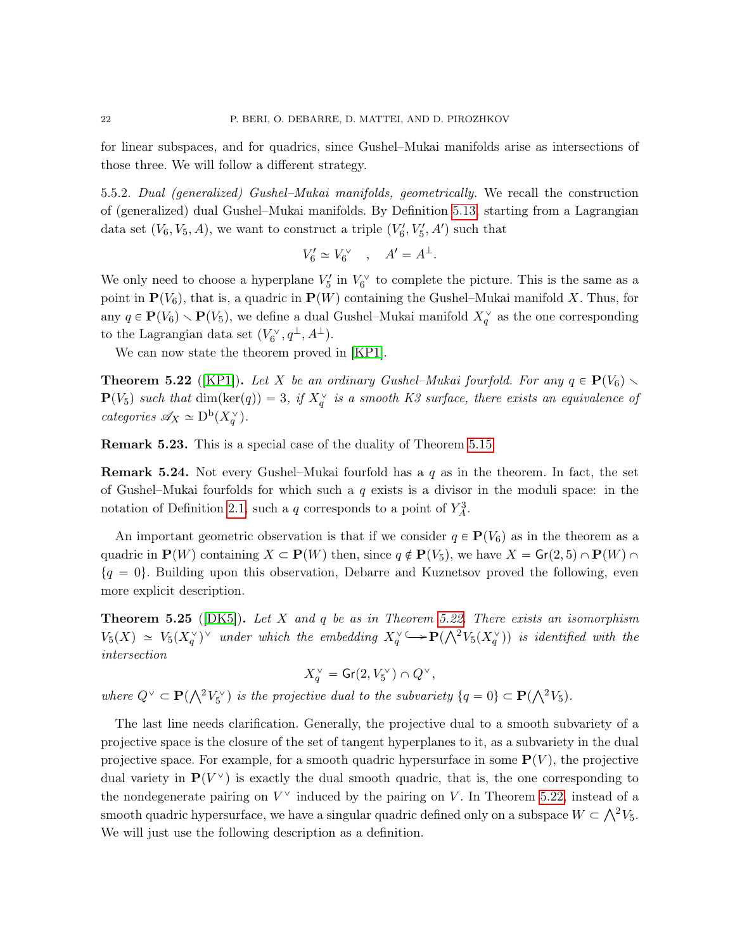for linear subspaces, and for quadrics, since Gushel–Mukai manifolds arise as intersections of those three. We will follow a different strategy.

5.5.2. Dual (generalized) Gushel–Mukai manifolds, geometrically. We recall the construction of (generalized) dual Gushel–Mukai manifolds. By Definition [5.13,](#page-18-3) starting from a Lagrangian data set  $(V_6, V_5, A)$ , we want to construct a triple  $(V'_6, V'_5, A')$  such that

$$
V_6' \simeq V_6^\vee \quad , \quad A' = A^\perp.
$$

We only need to choose a hyperplane  $V_5'$  in  $V_6^{\vee}$  to complete the picture. This is the same as a point in  $\mathbf{P}(V_6)$ , that is, a quadric in  $\mathbf{P}(W)$  containing the Gushel–Mukai manifold X. Thus, for any  $q \in \mathbf{P}(V_6) \setminus \mathbf{P}(V_5)$ , we define a dual Gushel–Mukai manifold  $X_q^{\vee}$  as the one corresponding to the Lagrangian data set  $(V_6^{\vee}, q^{\perp}, A^{\perp}).$ 

We can now state the theorem proved in [\[KP1\]](#page-24-2).

<span id="page-21-0"></span>**Theorem 5.22** ([\[KP1\]](#page-24-2)). Let X be an ordinary Gushel–Mukai fourfold. For any  $q \in \mathbf{P}(V_6)$  $\mathbf{P}(V_5)$  such that  $dim(ker(q)) = 3$ , if  $X_q^{\vee}$  is a smooth K3 surface, there exists an equivalence of categories  $\mathscr{A}_X \simeq D^{\mathrm{b}}(X_q^{\vee}).$ 

Remark 5.23. This is a special case of the duality of Theorem [5.15.](#page-18-1)

**Remark 5.24.** Not every Gushel–Mukai fourfold has a  $q$  as in the theorem. In fact, the set of Gushel–Mukai fourfolds for which such a  $q$  exists is a divisor in the moduli space: in the notation of Definition [2.1,](#page-5-3) such a q corresponds to a point of  $Y_A^3$ .

An important geometric observation is that if we consider  $q \in \mathbf{P}(V_6)$  as in the theorem as a quadric in  $\mathbf{P}(W)$  containing  $X \subset \mathbf{P}(W)$  then, since  $q \notin \mathbf{P}(V_5)$ , we have  $X = \mathsf{Gr}(2, 5) \cap \mathbf{P}(W) \cap \mathsf{Gr}(W)$  $\{q = 0\}$ . Building upon this observation, Debarre and Kuznetsov proved the following, even more explicit description.

<span id="page-21-1"></span>**Theorem 5.25** ( $[DK5]$ ). Let X and q be as in Theorem [5.22.](#page-21-0) There exists an isomorphism **Theorem 5.25** ([DK5]). Let X and q be as in Theorem 5.22. There exists an isomorphism<br> $V_5(X) \simeq V_5(X_q^{\vee})^{\vee}$  under which the embedding  $X_q^{\vee} \longrightarrow \mathbf{P}(\bigwedge^2 V_5(X_q^{\vee}))$  is identified with the intersection

$$
X_q^{\vee} = \mathsf{Gr}(2, V_5^{\vee}) \cap Q^{\vee},
$$

where  $Q^{\vee} \subset \mathbf{P}(\bigwedge^2 V_5^{\vee})$  is the projective dual to the subvariety  $\{q = 0\} \subset \mathbf{P}(\bigwedge^2 V_5)$ .

The last line needs clarification. Generally, the projective dual to a smooth subvariety of a projective space is the closure of the set of tangent hyperplanes to it, as a subvariety in the dual projective space. For example, for a smooth quadric hypersurface in some  $\mathbf{P}(V)$ , the projective dual variety in  $P(V^{\vee})$  is exactly the dual smooth quadric, that is, the one corresponding to the nondegenerate pairing on  $V^{\vee}$  induced by the pairing on V. In Theorem [5.22,](#page-21-0) instead of a the nondegenerate pairing on  $V$  finduced by the pairing on  $V$ . In Theorem 3.22, instead of a<br>smooth quadric hypersurface, we have a singular quadric defined only on a subspace  $W \subset \bigwedge^2 V_5$ . We will just use the following description as a definition.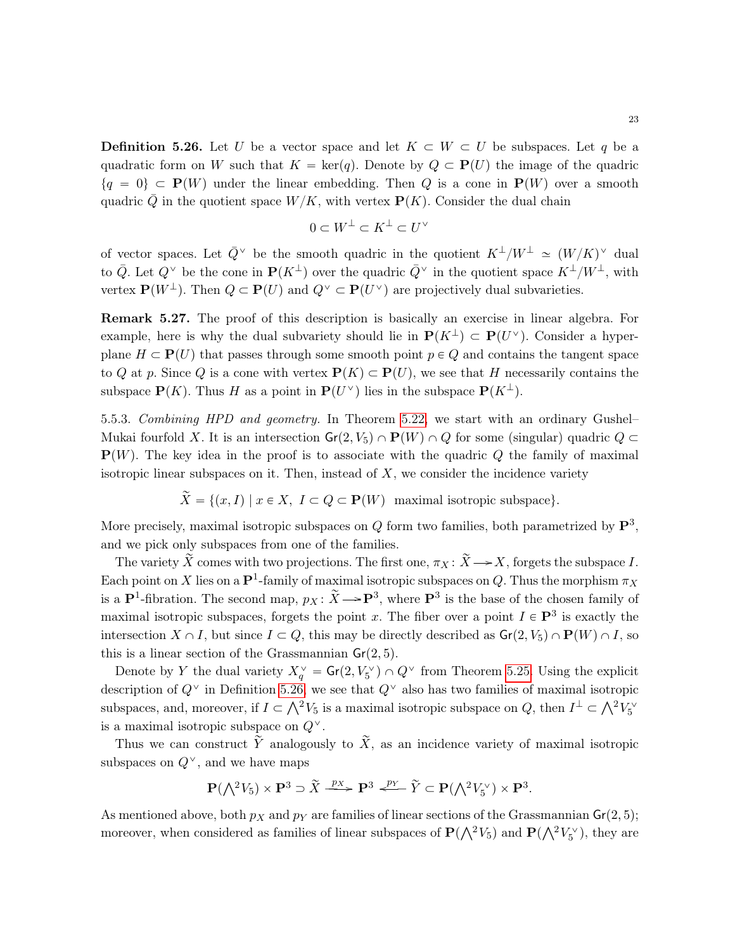<span id="page-22-0"></span>**Definition 5.26.** Let U be a vector space and let  $K \subset W \subset U$  be subspaces. Let q be a quadratic form on W such that  $K = \text{ker}(q)$ . Denote by  $Q \subset \mathbf{P}(U)$  the image of the quadric  $\{q = 0\} \subset \mathbf{P}(W)$  under the linear embedding. Then Q is a cone in  $\mathbf{P}(W)$  over a smooth quadric  $\overline{Q}$  in the quotient space  $W/K$ , with vertex  $P(K)$ . Consider the dual chain

$$
0 \subset W^{\perp} \subset K^{\perp} \subset U^{\vee}
$$

of vector spaces. Let  $\bar{Q}^{\vee}$  be the smooth quadric in the quotient  $K^{\perp}/W^{\perp} \simeq (W/K)^{\vee}$  dual to  $\overline{Q}$ . Let  $Q^{\vee}$  be the cone in  $\mathbf{P}(K^{\perp})$  over the quadric  $\overline{Q}^{\vee}$  in the quotient space  $K^{\perp}/W^{\perp}$ , with vertex  $\mathbf{P}(W^{\perp})$ . Then  $Q \subset \mathbf{P}(U)$  and  $Q^{\vee} \subset \mathbf{P}(U^{\vee})$  are projectively dual subvarieties.

Remark 5.27. The proof of this description is basically an exercise in linear algebra. For example, here is why the dual subvariety should lie in  $P(K^{\perp}) \subset P(U^{\vee})$ . Consider a hyperplane  $H \subset \mathbf{P}(U)$  that passes through some smooth point  $p \in Q$  and contains the tangent space to Q at p. Since Q is a cone with vertex  $P(K) \subset P(U)$ , we see that H necessarily contains the subspace  $\mathbf{P}(K)$ . Thus H as a point in  $\mathbf{P}(U^{\vee})$  lies in the subspace  $\mathbf{P}(K^{\perp})$ .

5.5.3. Combining HPD and geometry. In Theorem [5.22,](#page-21-0) we start with an ordinary Gushel– Mukai fourfold X. It is an intersection  $\mathsf{Gr}(2, V_5) \cap \mathbf{P}(W) \cap Q$  for some (singular) quadric  $Q \subset$  $P(W)$ . The key idea in the proof is to associate with the quadric Q the family of maximal isotropic linear subspaces on it. Then, instead of  $X$ , we consider the incidence variety

$$
\widetilde{X} = \{(x, I) \mid x \in X, I \subset Q \subset \mathbf{P}(W) \text{ maximal isotropic subspace}\}.
$$

More precisely, maximal isotropic subspaces on Q form two families, both parametrized by  $\mathbf{P}^3$ , and we pick only subspaces from one of the families.

The variety  $\widetilde{X}$  comes with two projections. The first one,  $\pi_X : \widetilde{X} \longrightarrow X$ , forgets the subspace I. Each point on X lies on a  $\mathbf{P}^1$ -family of maximal isotropic subspaces on Q. Thus the morphism  $\pi_X$ is a  $\mathbf{P}^1$ -fibration. The second map,  $p_X \colon \widetilde{X} \to \mathbf{P}^3$ , where  $\mathbf{P}^3$  is the base of the chosen family of maximal isotropic subspaces, forgets the point x. The fiber over a point  $I \in \mathbf{P}^3$  is exactly the intersection  $X \cap I$ , but since  $I \subset Q$ , this may be directly described as  $\mathsf{Gr}(2, V_5) \cap \mathbf{P}(W) \cap I$ , so this is a linear section of the Grassmannian  $Gr(2, 5)$ .

Denote by Y the dual variety  $X_q^{\vee} = \mathsf{Gr}(2, V_5^{\vee}) \cap Q^{\vee}$  from Theorem [5.25.](#page-21-1) Using the explicit description of  $Q^{\vee}$  in Definition [5.26,](#page-22-0) we see that  $Q^{\vee}$  also has two families of maximal isotropic description of Q<sup>-</sup> in Definition 5.20, we see that Q<sup>-</sup> also has two families of maximal isotropic<br>subspaces, and, moreover, if  $I \subset \bigwedge^2 V_5$  is a maximal isotropic subspace on Q, then  $I^{\perp} \subset \bigwedge^2 V_5^{\vee}$ is a maximal isotropic subspace on  $Q^{\vee}$ .

Thus we can construct  $\tilde{Y}$  analogously to  $\tilde{X}$ , as an incidence variety of maximal isotropic subspaces on  $Q^{\vee}$ , and we have maps

$$
\mathbf{P}(\bigwedge^2 V_5) \times \mathbf{P}^3 \supset \widetilde{X} \xrightarrow{p_X} \mathbf{P}^3 \xleftarrow{p_Y} \widetilde{Y} \subset \mathbf{P}(\bigwedge^2 V_5^{\vee}) \times \mathbf{P}^3.
$$

As mentioned above, both  $p<sub>X</sub>$  and  $p<sub>Y</sub>$  are families of linear sections of the Grassmannian  $Gr(2, 5)$ ; As mentioned above, both  $p_X$  and  $p_Y$  are families of linear sections of the Grassmannian  $\mathbf{G}(\mathsf{Z}, 3)$ ;<br>moreover, when considered as families of linear subspaces of  $\mathbf{P}(\bigwedge^2 V_5)$  and  $\mathbf{P}(\bigwedge^2 V_5^{\vee})$ , the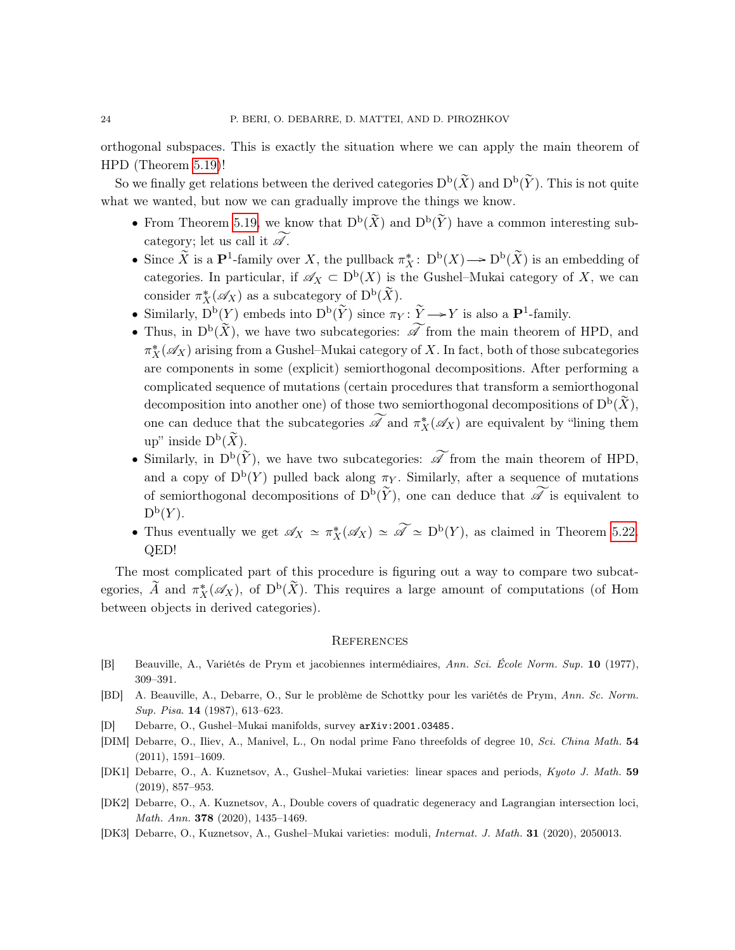orthogonal subspaces. This is exactly the situation where we can apply the main theorem of HPD (Theorem [5.19\)](#page-20-0)!

So we finally get relations between the derived categories  $D^b(\tilde{X})$  and  $D^b(\tilde{Y})$ . This is not quite what we wanted, but now we can gradually improve the things we know.

- From Theorem [5.19,](#page-20-0) we know that  $D^b(\tilde{X})$  and  $D^b(\tilde{Y})$  have a common interesting subcategory; let us call it  $\widetilde{\mathscr{A}}$ .
- Since  $\tilde{X}$  is a  $\mathbf{P}^1$ -family over X, the pullback  $\pi_X^*: D^b(X) \longrightarrow D^b(\tilde{X})$  is an embedding of categories. In particular, if  $\mathscr{A}_X \subset D^b(X)$  is the Gushel–Mukai category of X, we can consider  $\pi_X^*(\mathscr{A}_X)$  as a subcategory of  $D^{\mathsf{b}}(\widetilde{X})$ .
- Similarly,  $\overline{D}^{\rm b}(Y)$  embeds into  $\overline{D}^{\rm b}(\widetilde{Y})$  since  $\pi_Y : \widetilde{Y} \longrightarrow Y$  is also a  $\mathbf{P}^1$ -family.
- Thus, in  $D^b(\tilde{X})$ , we have two subcategories:  $\widetilde{\mathscr{A}}$  from the main theorem of HPD, and  $\pi_X^*(\mathscr{A}_X)$  arising from a Gushel–Mukai category of  $X.$  In fact, both of those subcategories are components in some (explicit) semiorthogonal decompositions. After performing a complicated sequence of mutations (certain procedures that transform a semiorthogonal decomposition into another one) of those two semiorthogonal decompositions of  $D^{\tilde{b}}(\tilde{X})$ , one can deduce that the subcategories  $\widetilde{\mathscr{A}}$  and  $\pi_X^*(\mathscr{A}_X)$  are equivalent by "lining them up" inside  $D^{\mathrm{b}}(\widetilde{X})$ .
- Similarly, in  $D^b(\tilde{Y})$ , we have two subcategories:  $\widetilde{\mathscr{A}}$  from the main theorem of HPD, and a copy of  $D^b(Y)$  pulled back along  $\pi_Y$ . Similarly, after a sequence of mutations of semiorthogonal decompositions of  $D^b(\tilde{Y})$ , one can deduce that  $\widetilde{\mathscr{A}}$  is equivalent to  $\mathrm{D}^{\mathrm{b}}(Y).$
- Thus eventually we get  $\mathscr{A}_X \simeq \pi_X^*(\mathscr{A}_X) \simeq \widetilde{\mathscr{A}} \simeq D^{\mathrm{b}}(Y)$ , as claimed in Theorem [5.22.](#page-21-0) QED!

The most complicated part of this procedure is figuring out a way to compare two subcategories,  $\widetilde{A}$  and  $\pi_X^*(\mathscr{A}_X)$ , of  $D^b(\widetilde{X})$ . This requires a large amount of computations (of Hom between objects in derived categories).

#### **REFERENCES**

- [B] Beauville, A., Variétés de Prym et jacobiennes intermédiaires, Ann. Sci. École Norm. Sup. 10 (1977), 309–391.
- [BD] A. Beauville, A., Debarre, O., Sur le problème de Schottky pour les variétés de Prym, Ann. Sc. Norm. Sup. Pisa. 14 (1987), 613–623.
- [D] Debarre, O., Gushel–Mukai manifolds, survey arXiv:2001.03485.
- [DIM] Debarre, O., Iliev, A., Manivel, L., On nodal prime Fano threefolds of degree 10, Sci. China Math. 54 (2011), 1591–1609.
- <span id="page-23-0"></span>[DK1] Debarre, O., A. Kuznetsov, A., Gushel–Mukai varieties: linear spaces and periods, Kyoto J. Math. 59 (2019), 857–953.
- <span id="page-23-2"></span>[DK2] Debarre, O., A. Kuznetsov, A., Double covers of quadratic degeneracy and Lagrangian intersection loci, Math. Ann. 378 (2020), 1435–1469.
- <span id="page-23-1"></span>[DK3] Debarre, O., Kuznetsov, A., Gushel–Mukai varieties: moduli, Internat. J. Math. 31 (2020), 2050013.